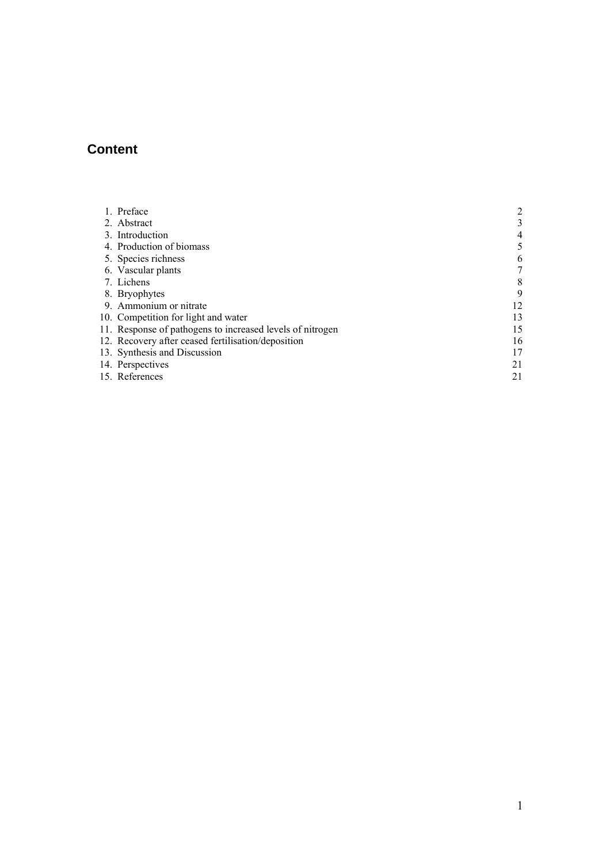# **Content**

| 1. Preface                                                |    |
|-----------------------------------------------------------|----|
| 2. Abstract                                               | 3  |
| 3. Introduction                                           | 4  |
| 4. Production of biomass                                  | 5  |
| 5. Species richness                                       | 6  |
| 6. Vascular plants                                        |    |
| 7. Lichens                                                | 8  |
| 8. Bryophytes                                             | 9  |
| 9. Ammonium or nitrate                                    | 12 |
| 10. Competition for light and water                       | 13 |
| 11. Response of pathogens to increased levels of nitrogen | 15 |
| 12. Recovery after ceased fertilisation/deposition        | 16 |
| 13. Synthesis and Discussion                              | 17 |
| 14. Perspectives                                          | 21 |
| 15. References                                            | 21 |
|                                                           |    |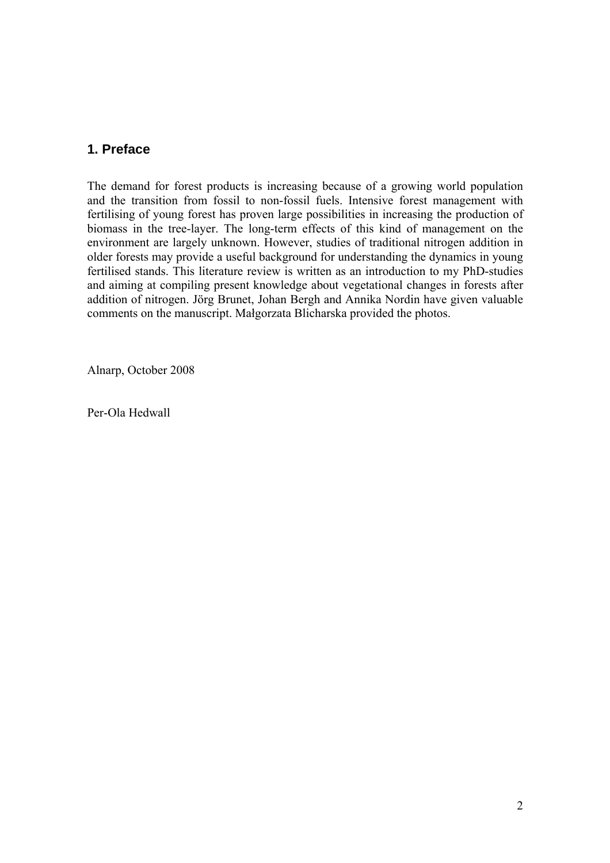### <span id="page-1-0"></span>**1. Preface**

The demand for forest products is increasing because of a growing world population and the transition from fossil to non-fossil fuels. Intensive forest management with fertilising of young forest has proven large possibilities in increasing the production of biomass in the tree-layer. The long-term effects of this kind of management on the environment are largely unknown. However, studies of traditional nitrogen addition in older forests may provide a useful background for understanding the dynamics in young fertilised stands. This literature review is written as an introduction to my PhD-studies and aiming at compiling present knowledge about vegetational changes in forests after addition of nitrogen. Jörg Brunet, Johan Bergh and Annika Nordin have given valuable comments on the manuscript. Małgorzata Blicharska provided the photos.

Alnarp, October 2008

Per-Ola Hedwall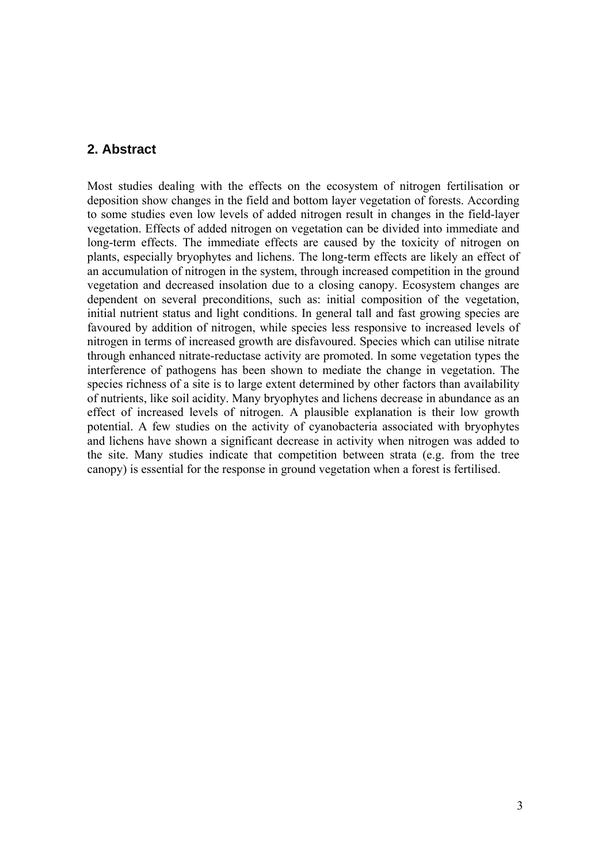#### <span id="page-2-0"></span>**2. Abstract**

Most studies dealing with the effects on the ecosystem of nitrogen fertilisation or deposition show changes in the field and bottom layer vegetation of forests. According to some studies even low levels of added nitrogen result in changes in the field-layer vegetation. Effects of added nitrogen on vegetation can be divided into immediate and long-term effects. The immediate effects are caused by the toxicity of nitrogen on plants, especially bryophytes and lichens. The long-term effects are likely an effect of an accumulation of nitrogen in the system, through increased competition in the ground vegetation and decreased insolation due to a closing canopy. Ecosystem changes are dependent on several preconditions, such as: initial composition of the vegetation, initial nutrient status and light conditions. In general tall and fast growing species are favoured by addition of nitrogen, while species less responsive to increased levels of nitrogen in terms of increased growth are disfavoured. Species which can utilise nitrate through enhanced nitrate-reductase activity are promoted. In some vegetation types the interference of pathogens has been shown to mediate the change in vegetation. The species richness of a site is to large extent determined by other factors than availability of nutrients, like soil acidity. Many bryophytes and lichens decrease in abundance as an effect of increased levels of nitrogen. A plausible explanation is their low growth potential. A few studies on the activity of cyanobacteria associated with bryophytes and lichens have shown a significant decrease in activity when nitrogen was added to the site. Many studies indicate that competition between strata (e.g. from the tree canopy) is essential for the response in ground vegetation when a forest is fertilised.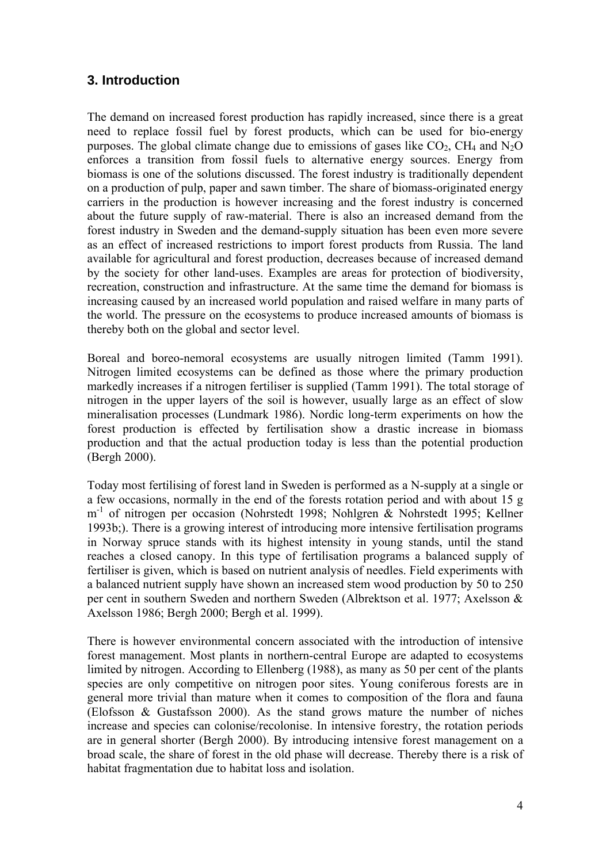## <span id="page-3-0"></span>**3. Introduction**

The demand on increased forest production has rapidly increased, since there is a great need to replace fossil fuel by forest products, which can be used for bio-energy purposes. The global climate change due to emissions of gases like  $CO<sub>2</sub>$ , CH<sub>4</sub> and N<sub>2</sub>O enforces a transition from fossil fuels to alternative energy sources. Energy from biomass is one of the solutions discussed. The forest industry is traditionally dependent on a production of pulp, paper and sawn timber. The share of biomass-originated energy carriers in the production is however increasing and the forest industry is concerned about the future supply of raw-material. There is also an increased demand from the forest industry in Sweden and the demand-supply situation has been even more severe as an effect of increased restrictions to import forest products from Russia. The land available for agricultural and forest production, decreases because of increased demand by the society for other land-uses. Examples are areas for protection of biodiversity, recreation, construction and infrastructure. At the same time the demand for biomass is increasing caused by an increased world population and raised welfare in many parts of the world. The pressure on the ecosystems to produce increased amounts of biomass is thereby both on the global and sector level.

Boreal and boreo-nemoral ecosystems are usually nitrogen limited (Tamm 1991). Nitrogen limited ecosystems can be defined as those where the primary production markedly increases if a nitrogen fertiliser is supplied (Tamm 1991). The total storage of nitrogen in the upper layers of the soil is however, usually large as an effect of slow mineralisation processes (Lundmark 1986). Nordic long-term experiments on how the forest production is effected by fertilisation show a drastic increase in biomass production and that the actual production today is less than the potential production (Bergh 2000).

Today most fertilising of forest land in Sweden is performed as a N-supply at a single or a few occasions, normally in the end of the forests rotation period and with about 15 g m-1 of nitrogen per occasion (Nohrstedt 1998; Nohlgren & Nohrstedt 1995; Kellner 1993b;). There is a growing interest of introducing more intensive fertilisation programs in Norway spruce stands with its highest intensity in young stands, until the stand reaches a closed canopy. In this type of fertilisation programs a balanced supply of fertiliser is given, which is based on nutrient analysis of needles. Field experiments with a balanced nutrient supply have shown an increased stem wood production by 50 to 250 per cent in southern Sweden and northern Sweden (Albrektson et al. 1977; Axelsson & Axelsson 1986; Bergh 2000; Bergh et al. 1999).

There is however environmental concern associated with the introduction of intensive forest management. Most plants in northern-central Europe are adapted to ecosystems limited by nitrogen. According to Ellenberg (1988), as many as 50 per cent of the plants species are only competitive on nitrogen poor sites. Young coniferous forests are in general more trivial than mature when it comes to composition of the flora and fauna (Elofsson & Gustafsson 2000). As the stand grows mature the number of niches increase and species can colonise/recolonise. In intensive forestry, the rotation periods are in general shorter (Bergh 2000). By introducing intensive forest management on a broad scale, the share of forest in the old phase will decrease. Thereby there is a risk of habitat fragmentation due to habitat loss and isolation.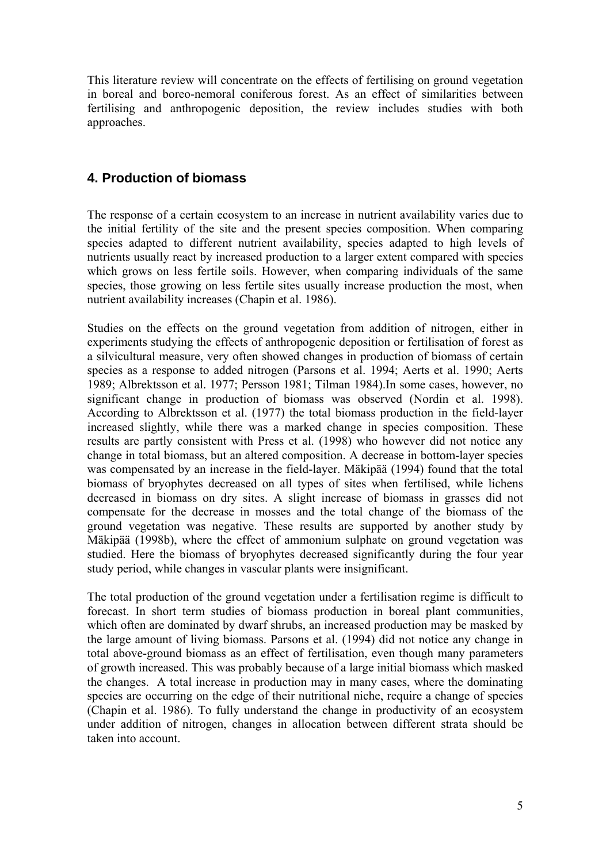<span id="page-4-0"></span>This literature review will concentrate on the effects of fertilising on ground vegetation in boreal and boreo-nemoral coniferous forest. As an effect of similarities between fertilising and anthropogenic deposition, the review includes studies with both approaches.

## **4. Production of biomass**

The response of a certain ecosystem to an increase in nutrient availability varies due to the initial fertility of the site and the present species composition. When comparing species adapted to different nutrient availability, species adapted to high levels of nutrients usually react by increased production to a larger extent compared with species which grows on less fertile soils. However, when comparing individuals of the same species, those growing on less fertile sites usually increase production the most, when nutrient availability increases (Chapin et al. 1986).

Studies on the effects on the ground vegetation from addition of nitrogen, either in experiments studying the effects of anthropogenic deposition or fertilisation of forest as a silvicultural measure, very often showed changes in production of biomass of certain species as a response to added nitrogen (Parsons et al. 1994; Aerts et al. 1990; Aerts 1989; Albrektsson et al. 1977; Persson 1981; Tilman 1984).In some cases, however, no significant change in production of biomass was observed (Nordin et al. 1998). According to Albrektsson et al. (1977) the total biomass production in the field-layer increased slightly, while there was a marked change in species composition. These results are partly consistent with Press et al. (1998) who however did not notice any change in total biomass, but an altered composition. A decrease in bottom-layer species was compensated by an increase in the field-layer. Mäkipää (1994) found that the total biomass of bryophytes decreased on all types of sites when fertilised, while lichens decreased in biomass on dry sites. A slight increase of biomass in grasses did not compensate for the decrease in mosses and the total change of the biomass of the ground vegetation was negative. These results are supported by another study by Mäkipää (1998b), where the effect of ammonium sulphate on ground vegetation was studied. Here the biomass of bryophytes decreased significantly during the four year study period, while changes in vascular plants were insignificant.

The total production of the ground vegetation under a fertilisation regime is difficult to forecast. In short term studies of biomass production in boreal plant communities, which often are dominated by dwarf shrubs, an increased production may be masked by the large amount of living biomass. Parsons et al. (1994) did not notice any change in total above-ground biomass as an effect of fertilisation, even though many parameters of growth increased. This was probably because of a large initial biomass which masked the changes. A total increase in production may in many cases, where the dominating species are occurring on the edge of their nutritional niche, require a change of species (Chapin et al. 1986). To fully understand the change in productivity of an ecosystem under addition of nitrogen, changes in allocation between different strata should be taken into account.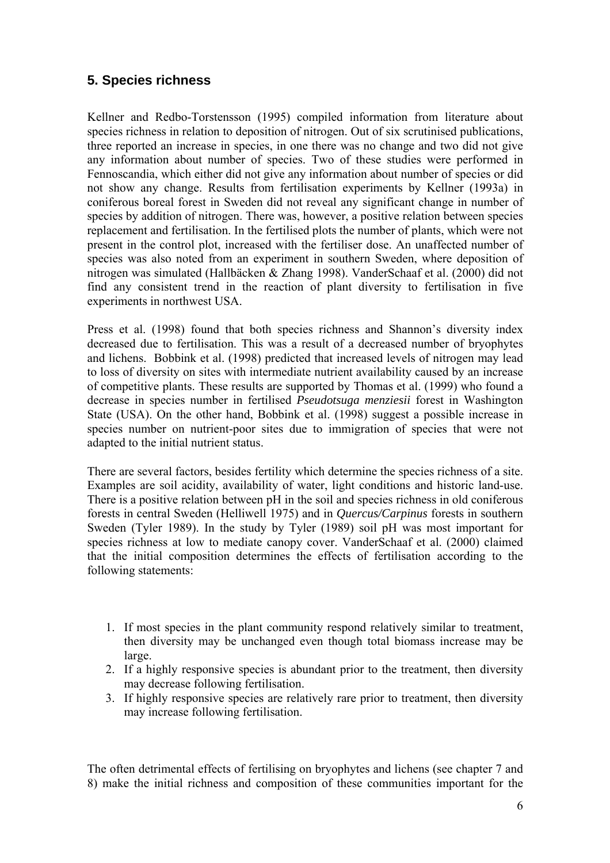## <span id="page-5-0"></span>**5. Species richness**

Kellner and Redbo-Torstensson (1995) compiled information from literature about species richness in relation to deposition of nitrogen. Out of six scrutinised publications, three reported an increase in species, in one there was no change and two did not give any information about number of species. Two of these studies were performed in Fennoscandia, which either did not give any information about number of species or did not show any change. Results from fertilisation experiments by Kellner (1993a) in coniferous boreal forest in Sweden did not reveal any significant change in number of species by addition of nitrogen. There was, however, a positive relation between species replacement and fertilisation. In the fertilised plots the number of plants, which were not present in the control plot, increased with the fertiliser dose. An unaffected number of species was also noted from an experiment in southern Sweden, where deposition of nitrogen was simulated (Hallbäcken & Zhang 1998). VanderSchaaf et al. (2000) did not find any consistent trend in the reaction of plant diversity to fertilisation in five experiments in northwest USA.

Press et al. (1998) found that both species richness and Shannon's diversity index decreased due to fertilisation. This was a result of a decreased number of bryophytes and lichens. Bobbink et al. (1998) predicted that increased levels of nitrogen may lead to loss of diversity on sites with intermediate nutrient availability caused by an increase of competitive plants. These results are supported by Thomas et al. (1999) who found a decrease in species number in fertilised *Pseudotsuga menziesii* forest in Washington State (USA). On the other hand, Bobbink et al. (1998) suggest a possible increase in species number on nutrient-poor sites due to immigration of species that were not adapted to the initial nutrient status.

There are several factors, besides fertility which determine the species richness of a site. Examples are soil acidity, availability of water, light conditions and historic land-use. There is a positive relation between pH in the soil and species richness in old coniferous forests in central Sweden (Helliwell 1975) and in *Quercus/Carpinus* forests in southern Sweden (Tyler 1989). In the study by Tyler (1989) soil pH was most important for species richness at low to mediate canopy cover. VanderSchaaf et al. (2000) claimed that the initial composition determines the effects of fertilisation according to the following statements:

- 1. If most species in the plant community respond relatively similar to treatment, then diversity may be unchanged even though total biomass increase may be large.
- 2. If a highly responsive species is abundant prior to the treatment, then diversity may decrease following fertilisation.
- 3. If highly responsive species are relatively rare prior to treatment, then diversity may increase following fertilisation.

The often detrimental effects of fertilising on bryophytes and lichens (see chapter 7 and 8) make the initial richness and composition of these communities important for the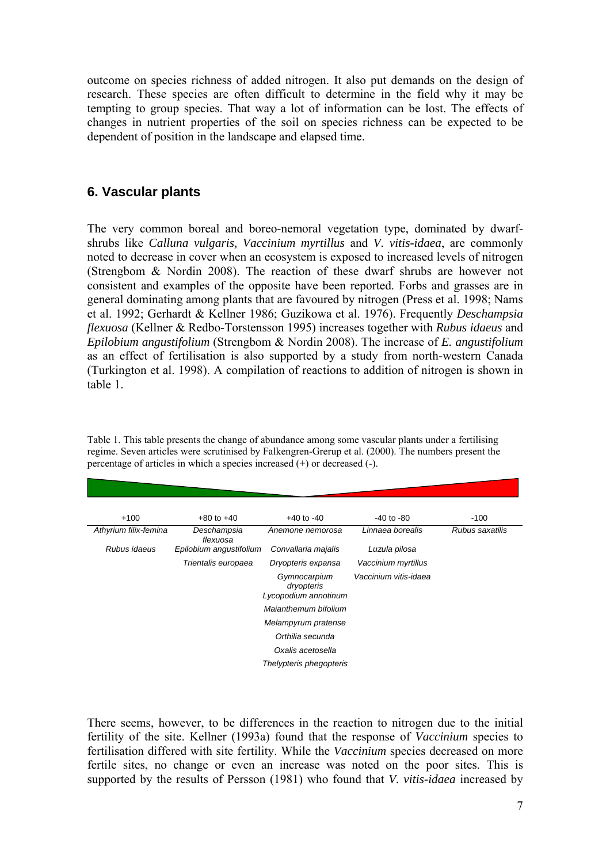<span id="page-6-0"></span>outcome on species richness of added nitrogen. It also put demands on the design of research. These species are often difficult to determine in the field why it may be tempting to group species. That way a lot of information can be lost. The effects of changes in nutrient properties of the soil on species richness can be expected to be dependent of position in the landscape and elapsed time.

#### **6. Vascular plants**

The very common boreal and boreo-nemoral vegetation type, dominated by dwarfshrubs like *Calluna vulgaris, Vaccinium myrtillus* and *V. vitis-idaea*, are commonly noted to decrease in cover when an ecosystem is exposed to increased levels of nitrogen (Strengbom & Nordin 2008). The reaction of these dwarf shrubs are however not consistent and examples of the opposite have been reported. Forbs and grasses are in general dominating among plants that are favoured by nitrogen (Press et al. 1998; Nams et al. 1992; Gerhardt & Kellner 1986; Guzikowa et al. 1976). Frequently *Deschampsia flexuosa* (Kellner & Redbo-Torstensson 1995) increases together with *Rubus idaeus* and *Epilobium angustifolium* (Strengbom & Nordin 2008). The increase of *E. angustifolium*  as an effect of fertilisation is also supported by a study from north-western Canada (Turkington et al. 1998). A compilation of reactions to addition of nitrogen is shown in table 1.

| $+100$                | $+80$ to $+40$          | $+40$ to $-40$                                     | $-40$ to $-80$        | $-100$          |  |  |  |
|-----------------------|-------------------------|----------------------------------------------------|-----------------------|-----------------|--|--|--|
| Athyrium filix-femina | Deschampsia<br>flexuosa | Anemone nemorosa                                   | Linnaea borealis      | Rubus saxatilis |  |  |  |
| Rubus idaeus          | Epilobium angustifolium | Convallaria majalis                                | Luzula pilosa         |                 |  |  |  |
|                       | Trientalis europaea     | Dryopteris expansa                                 | Vaccinium myrtillus   |                 |  |  |  |
|                       |                         | Gymnocarpium<br>dryopteris<br>Lycopodium annotinum | Vaccinium vitis-idaea |                 |  |  |  |
| Maianthemum bifolium  |                         |                                                    |                       |                 |  |  |  |
|                       |                         | Melampyrum pratense                                |                       |                 |  |  |  |
|                       |                         | Orthilia secunda                                   |                       |                 |  |  |  |
|                       |                         | Oxalis acetosella                                  |                       |                 |  |  |  |
|                       |                         | Thelypteris phegopteris                            |                       |                 |  |  |  |

Table 1. This table presents the change of abundance among some vascular plants under a fertilising regime. Seven articles were scrutinised by Falkengren-Grerup et al. (2000). The numbers present the percentage of articles in which a species increased (+) or decreased (-).

There seems, however, to be differences in the reaction to nitrogen due to the initial fertility of the site. Kellner (1993a) found that the response of *Vaccinium* species to fertilisation differed with site fertility. While the *Vaccinium* species decreased on more fertile sites, no change or even an increase was noted on the poor sites. This is supported by the results of Persson (1981) who found that *V. vitis-idaea* increased by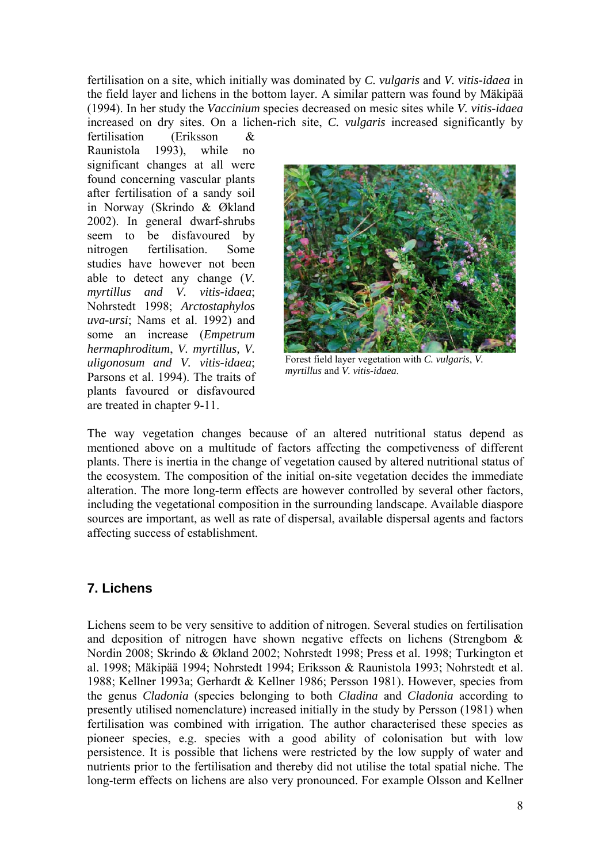<span id="page-7-0"></span>fertilisation on a site, which initially was dominated by *C. vulgaris* and *V. vitis-idaea* in the field layer and lichens in the bottom layer. A similar pattern was found by Mäkipää (1994). In her study the *Vaccinium* species decreased on mesic sites while *V. vitis-idaea* increased on dry sites. On a lichen-rich site, *C. vulgaris* increased significantly by

fertilisation (Eriksson & Raunistola 1993), while no significant changes at all were found concerning vascular plants after fertilisation of a sandy soil in Norway (Skrindo & Økland 2002). In general dwarf-shrubs seem to be disfavoured by nitrogen fertilisation. Some studies have however not been able to detect any change (*V. myrtillus and V. vitis-idaea*; Nohrstedt 1998; *Arctostaphylos uva-ursi*; Nams et al. 1992) and some an increase (*Empetrum hermaphroditum*, *V. myrtillus, V. uligonosum and V. vitis-idaea*; Parsons et al. 1994). The traits of plants favoured or disfavoured are treated in chapter 9-11.



Forest field layer vegetation with *C. vulgaris*, *V. myrtillus* and *V. vitis-idaea*.

The way vegetation changes because of an altered nutritional status depend as mentioned above on a multitude of factors affecting the competiveness of different plants. There is inertia in the change of vegetation caused by altered nutritional status of the ecosystem. The composition of the initial on-site vegetation decides the immediate alteration. The more long-term effects are however controlled by several other factors, including the vegetational composition in the surrounding landscape. Available diaspore sources are important, as well as rate of dispersal, available dispersal agents and factors affecting success of establishment.

#### **7. Lichens**

Lichens seem to be very sensitive to addition of nitrogen. Several studies on fertilisation and deposition of nitrogen have shown negative effects on lichens (Strengbom  $\&$ Nordin 2008; Skrindo & Økland 2002; Nohrstedt 1998; Press et al. 1998; Turkington et al. 1998; Mäkipää 1994; Nohrstedt 1994; Eriksson & Raunistola 1993; Nohrstedt et al. 1988; Kellner 1993a; Gerhardt & Kellner 1986; Persson 1981). However, species from the genus *Cladonia* (species belonging to both *Cladina* and *Cladonia* according to presently utilised nomenclature) increased initially in the study by Persson (1981) when fertilisation was combined with irrigation. The author characterised these species as pioneer species, e.g. species with a good ability of colonisation but with low persistence. It is possible that lichens were restricted by the low supply of water and nutrients prior to the fertilisation and thereby did not utilise the total spatial niche. The long-term effects on lichens are also very pronounced. For example Olsson and Kellner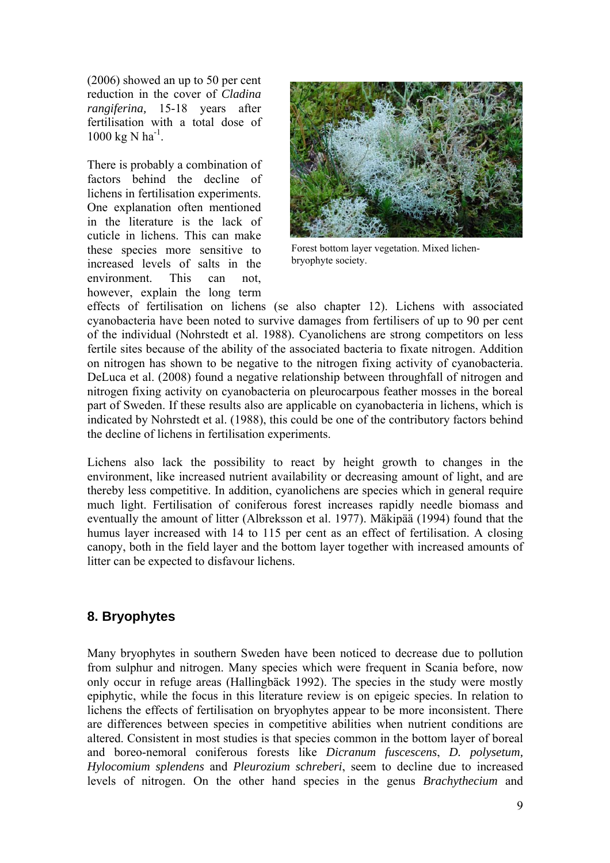<span id="page-8-0"></span>(2006) showed an up to 50 per cent reduction in the cover of *Cladina rangiferina,* 15-18 years after fertilisation with a total dose of  $1000 \text{ kg N} \text{ ha}^{-1}$ .

There is probably a combination of factors behind the decline of lichens in fertilisation experiments. One explanation often mentioned in the literature is the lack of cuticle in lichens. This can make these species more sensitive to increased levels of salts in the environment. This can not, however, explain the long term



Forest bottom layer vegetation. Mixed lichenbryophyte society.

effects of fertilisation on lichens (se also chapter 12). Lichens with associated cyanobacteria have been noted to survive damages from fertilisers of up to 90 per cent of the individual (Nohrstedt et al. 1988). Cyanolichens are strong competitors on less fertile sites because of the ability of the associated bacteria to fixate nitrogen. Addition on nitrogen has shown to be negative to the nitrogen fixing activity of cyanobacteria. DeLuca et al. (2008) found a negative relationship between throughfall of nitrogen and nitrogen fixing activity on cyanobacteria on pleurocarpous feather mosses in the boreal part of Sweden. If these results also are applicable on cyanobacteria in lichens, which is indicated by Nohrstedt et al. (1988), this could be one of the contributory factors behind the decline of lichens in fertilisation experiments.

Lichens also lack the possibility to react by height growth to changes in the environment, like increased nutrient availability or decreasing amount of light, and are thereby less competitive. In addition, cyanolichens are species which in general require much light. Fertilisation of coniferous forest increases rapidly needle biomass and eventually the amount of litter (Albreksson et al. 1977). Mäkipää (1994) found that the humus layer increased with 14 to 115 per cent as an effect of fertilisation. A closing canopy, both in the field layer and the bottom layer together with increased amounts of litter can be expected to disfavour lichens.

# **8. Bryophytes**

Many bryophytes in southern Sweden have been noticed to decrease due to pollution from sulphur and nitrogen. Many species which were frequent in Scania before, now only occur in refuge areas (Hallingbäck 1992). The species in the study were mostly epiphytic, while the focus in this literature review is on epigeic species. In relation to lichens the effects of fertilisation on bryophytes appear to be more inconsistent. There are differences between species in competitive abilities when nutrient conditions are altered. Consistent in most studies is that species common in the bottom layer of boreal and boreo-nemoral coniferous forests like *Dicranum fuscescens*, *D. polysetum, Hylocomium splendens* and *Pleurozium schreberi*, seem to decline due to increased levels of nitrogen. On the other hand species in the genus *Brachythecium* and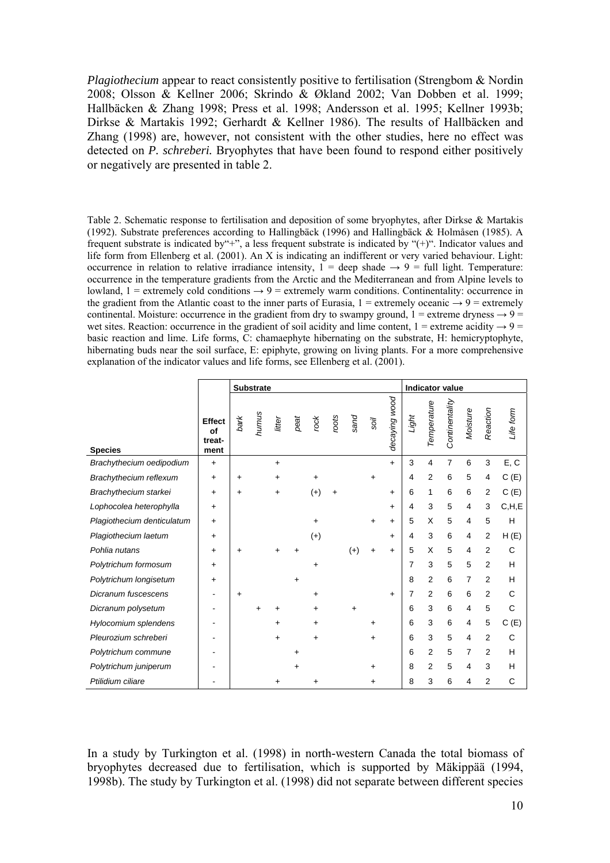*Plagiothecium* appear to react consistently positive to fertilisation (Strengbom & Nordin 2008; Olsson & Kellner 2006; Skrindo & Økland 2002; Van Dobben et al. 1999; Hallbäcken & Zhang 1998; Press et al. 1998; Andersson et al. 1995; Kellner 1993b; Dirkse & Martakis 1992; Gerhardt & Kellner 1986). The results of Hallbäcken and Zhang (1998) are, however, not consistent with the other studies, here no effect was detected on *P. schreberi.* Bryophytes that have been found to respond either positively or negatively are presented in table 2.

Table 2. Schematic response to fertilisation and deposition of some bryophytes, after Dirkse & Martakis (1992). Substrate preferences according to Hallingbäck (1996) and Hallingbäck & Holmåsen (1985). A frequent substrate is indicated by"+", a less frequent substrate is indicated by "(+)". Indicator values and life form from Ellenberg et al. (2001). An X is indicating an indifferent or very varied behaviour. Light: occurrence in relation to relative irradiance intensity,  $1 =$  deep shade  $\rightarrow 9 =$  full light. Temperature: occurrence in the temperature gradients from the Arctic and the Mediterranean and from Alpine levels to lowland,  $1 =$  extremely cold conditions  $\rightarrow$  9 = extremely warm conditions. Continentality: occurrence in the gradient from the Atlantic coast to the inner parts of Eurasia,  $1 =$  extremely oceanic  $\rightarrow$  9 = extremely continental. Moisture: occurrence in the gradient from dry to swampy ground,  $1 =$  extreme dryness  $\rightarrow$  9 = wet sites. Reaction: occurrence in the gradient of soil acidity and lime content,  $1 =$  extreme acidity  $\rightarrow$  9 = basic reaction and lime. Life forms, C: chamaephyte hibernating on the substrate, H: hemicryptophyte, hibernating buds near the soil surface, E: epiphyte, growing on living plants. For a more comprehensive explanation of the indicator values and life forms, see Ellenberg et al. (2001).

|                            |                                       | <b>Substrate</b> |       |           |           |           |       |       |           | <b>Indicator value</b> |       |                |                |          |                |           |  |
|----------------------------|---------------------------------------|------------------|-------|-----------|-----------|-----------|-------|-------|-----------|------------------------|-------|----------------|----------------|----------|----------------|-----------|--|
| <b>Species</b>             | <b>Effect</b><br>of<br>treat-<br>ment | bark             | humus | litter    | peat      | rock      | roots | pues  | soil      | decaying wood          | tight | Temperature    | Continentality | Moisture | Reaction       | Life form |  |
| Brachythecium oedipodium   | $\ddot{}$                             |                  |       | $+$       |           |           |       |       |           | $+$                    | 3     | 4              | 7              | 6        | 3              | E, C      |  |
| Brachythecium reflexum     | $\ddot{}$                             | $\ddot{}$        |       | $\ddot{}$ |           |           |       |       | $\ddot{}$ |                        | 4     | $\overline{2}$ | 6              | 5        | 4              | C(E)      |  |
| Brachythecium starkei      | $\ddot{}$                             | +                |       | $\ddot{}$ |           | $^{(+)}$  | +     |       |           | $\ddot{}$              | 6     | $\mathbf{1}$   | 6              | 6        | $\overline{2}$ | C(E)      |  |
| Lophocolea heterophylla    | $\ddot{}$                             |                  |       |           |           |           |       |       |           | $\ddot{}$              | 4     | 3              | 5              | 4        | 3              | C, H, E   |  |
| Plagiothecium denticulatum | $\ddot{}$                             |                  |       |           |           | +         |       |       | $\ddot{}$ | $+$                    | 5     | X              | 5              | 4        | 5              | Н         |  |
| Plagiothecium laetum       | $\ddot{}$                             |                  |       |           |           | $(+)$     |       |       |           | $\ddot{}$              | 4     | 3              | 6              | 4        | 2              | H(E)      |  |
| Pohlia nutans              | $\ddot{}$                             | +                |       | $\ddot{}$ |           |           |       | $(+)$ | $\ddot{}$ | $+$                    | 5     | X              | 5              | 4        | $\overline{2}$ | C         |  |
| Polytrichum formosum       | $\ddot{}$                             |                  |       |           |           | $\ddot{}$ |       |       |           |                        | 7     | 3              | 5              | 5        | $\overline{2}$ | H         |  |
| Polytrichum longisetum     | $\ddot{}$                             |                  |       |           | $\ddot{}$ |           |       |       |           |                        | 8     | 2              | 6              | 7        | 2              | H         |  |
| Dicranum fuscescens        | ٠                                     | +                |       |           |           | $\ddot{}$ |       |       |           | $\ddot{}$              | 7     | $\overline{2}$ | 6              | 6        | 2              | C         |  |
| Dicranum polysetum         |                                       |                  |       |           |           |           |       | +     |           |                        | 6     | 3              | 6              | 4        | 5              | C         |  |
| Hylocomium splendens       |                                       |                  |       | $\ddot{}$ |           | +         |       |       | +         |                        | 6     | 3              | 6              | 4        | 5              | C(E)      |  |
| Pleurozium schreberi       |                                       |                  |       | +         |           | $\ddot{}$ |       |       | +         |                        | 6     | 3              | 5              | 4        | $\overline{2}$ | C         |  |
| Polytrichum commune        |                                       |                  |       |           | $\ddot{}$ |           |       |       |           |                        | 6     | 2              | 5              | 7        | 2              | H         |  |
| Polytrichum juniperum      |                                       |                  |       |           | +         |           |       |       | $\ddot{}$ |                        | 8     | $\overline{2}$ | 5              | 4        | 3              | H         |  |
| Ptilidium ciliare          |                                       |                  |       | +         |           |           |       |       | ٠         |                        | 8     | 3              | 6              | 4        | 2              | C         |  |

In a study by Turkington et al. (1998) in north-western Canada the total biomass of bryophytes decreased due to fertilisation, which is supported by Mäkippää (1994, 1998b). The study by Turkington et al. (1998) did not separate between different species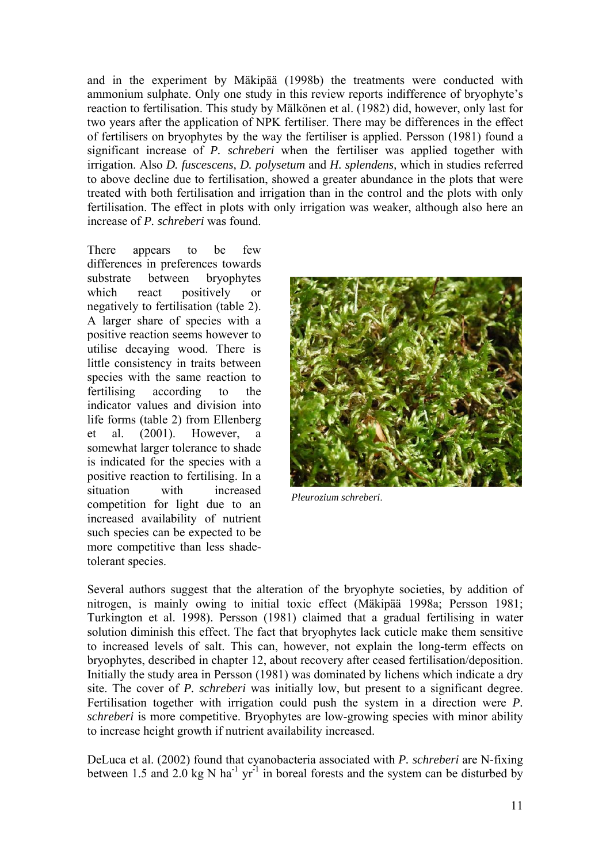and in the experiment by Mäkipää (1998b) the treatments were conducted with ammonium sulphate. Only one study in this review reports indifference of bryophyte's reaction to fertilisation. This study by Mälkönen et al. (1982) did, however, only last for two years after the application of NPK fertiliser. There may be differences in the effect of fertilisers on bryophytes by the way the fertiliser is applied. Persson (1981) found a significant increase of *P. schreberi* when the fertiliser was applied together with irrigation. Also *D. fuscescens, D. polysetum* and *H. splendens,* which in studies referred to above decline due to fertilisation, showed a greater abundance in the plots that were treated with both fertilisation and irrigation than in the control and the plots with only fertilisation. The effect in plots with only irrigation was weaker, although also here an increase of *P. schreberi* was found.

There appears to be few differences in preferences towards substrate between bryophytes which react positively or negatively to fertilisation (table 2). A larger share of species with a positive reaction seems however to utilise decaying wood. There is little consistency in traits between species with the same reaction to fertilising according to the indicator values and division into life forms (table 2) from Ellenberg et al. (2001). However, a somewhat larger tolerance to shade is indicated for the species with a positive reaction to fertilising. In a situation with increased competition for light due to an increased availability of nutrient such species can be expected to be more competitive than less shadetolerant species.



*Pleurozium schreberi*.

Several authors suggest that the alteration of the bryophyte societies, by addition of nitrogen, is mainly owing to initial toxic effect (Mäkipää 1998a; Persson 1981; Turkington et al. 1998). Persson (1981) claimed that a gradual fertilising in water solution diminish this effect. The fact that bryophytes lack cuticle make them sensitive to increased levels of salt. This can, however, not explain the long-term effects on bryophytes, described in chapter 12, about recovery after ceased fertilisation/deposition. Initially the study area in Persson (1981) was dominated by lichens which indicate a dry site. The cover of *P. schreberi* was initially low, but present to a significant degree. Fertilisation together with irrigation could push the system in a direction were *P. schreberi* is more competitive. Bryophytes are low-growing species with minor ability to increase height growth if nutrient availability increased.

DeLuca et al. (2002) found that cyanobacteria associated with *P. schreberi* are N-fixing between 1.5 and 2.0 kg N ha<sup>-1</sup> yr<sup>-1</sup> in boreal forests and the system can be disturbed by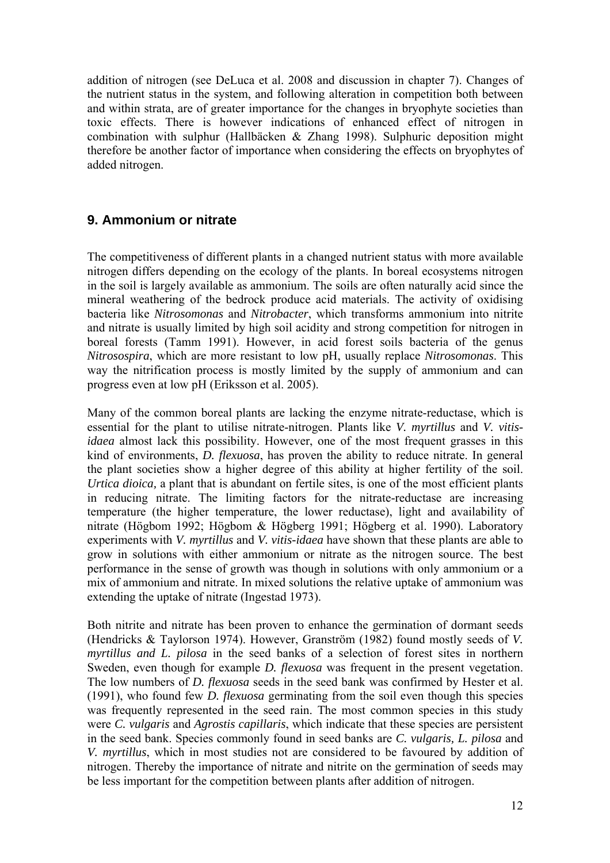<span id="page-11-0"></span>addition of nitrogen (see DeLuca et al. 2008 and discussion in chapter 7). Changes of the nutrient status in the system, and following alteration in competition both between and within strata, are of greater importance for the changes in bryophyte societies than toxic effects. There is however indications of enhanced effect of nitrogen in combination with sulphur (Hallbäcken & Zhang 1998). Sulphuric deposition might therefore be another factor of importance when considering the effects on bryophytes of added nitrogen.

## **9. Ammonium or nitrate**

The competitiveness of different plants in a changed nutrient status with more available nitrogen differs depending on the ecology of the plants. In boreal ecosystems nitrogen in the soil is largely available as ammonium. The soils are often naturally acid since the mineral weathering of the bedrock produce acid materials. The activity of oxidising bacteria like *Nitrosomonas* and *Nitrobacter*, which transforms ammonium into nitrite and nitrate is usually limited by high soil acidity and strong competition for nitrogen in boreal forests (Tamm 1991). However, in acid forest soils bacteria of the genus *Nitrosospira*, which are more resistant to low pH, usually replace *Nitrosomonas*. This way the nitrification process is mostly limited by the supply of ammonium and can progress even at low pH (Eriksson et al. 2005).

Many of the common boreal plants are lacking the enzyme nitrate-reductase, which is essential for the plant to utilise nitrate-nitrogen. Plants like *V. myrtillus* and *V. vitisidaea* almost lack this possibility. However, one of the most frequent grasses in this kind of environments, *D. flexuosa*, has proven the ability to reduce nitrate. In general the plant societies show a higher degree of this ability at higher fertility of the soil. *Urtica dioica,* a plant that is abundant on fertile sites, is one of the most efficient plants in reducing nitrate. The limiting factors for the nitrate-reductase are increasing temperature (the higher temperature, the lower reductase), light and availability of nitrate (Högbom 1992; Högbom & Högberg 1991; Högberg et al. 1990). Laboratory experiments with *V. myrtillus* and *V. vitis-idaea* have shown that these plants are able to grow in solutions with either ammonium or nitrate as the nitrogen source. The best performance in the sense of growth was though in solutions with only ammonium or a mix of ammonium and nitrate. In mixed solutions the relative uptake of ammonium was extending the uptake of nitrate (Ingestad 1973).

Both nitrite and nitrate has been proven to enhance the germination of dormant seeds (Hendricks & Taylorson 1974). However, Granström (1982) found mostly seeds of *V. myrtillus and L. pilosa* in the seed banks of a selection of forest sites in northern Sweden, even though for example *D. flexuosa* was frequent in the present vegetation. The low numbers of *D. flexuosa* seeds in the seed bank was confirmed by Hester et al. (1991), who found few *D. flexuosa* germinating from the soil even though this species was frequently represented in the seed rain. The most common species in this study were *C. vulgaris* and *Agrostis capillaris*, which indicate that these species are persistent in the seed bank. Species commonly found in seed banks are *C. vulgaris, L. pilosa* and *V. myrtillus*, which in most studies not are considered to be favoured by addition of nitrogen. Thereby the importance of nitrate and nitrite on the germination of seeds may be less important for the competition between plants after addition of nitrogen.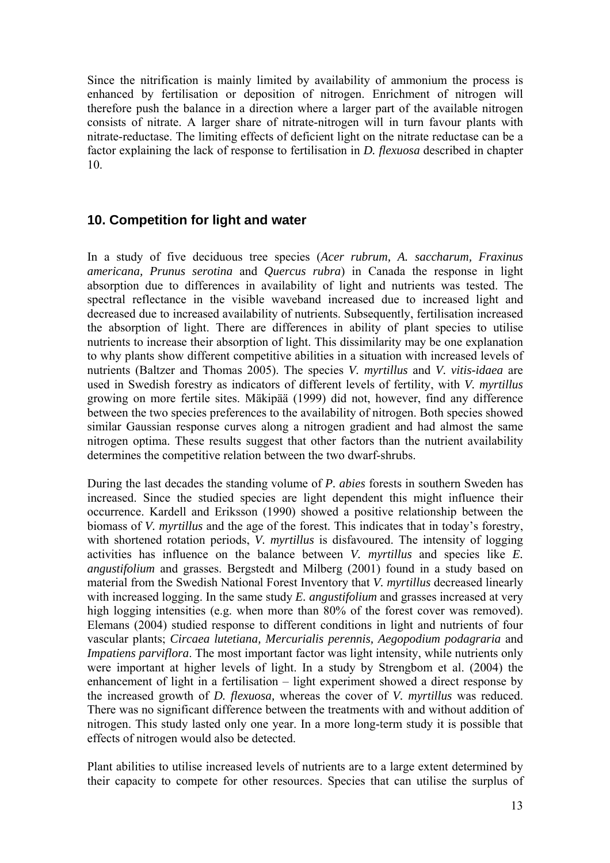<span id="page-12-0"></span>Since the nitrification is mainly limited by availability of ammonium the process is enhanced by fertilisation or deposition of nitrogen. Enrichment of nitrogen will therefore push the balance in a direction where a larger part of the available nitrogen consists of nitrate. A larger share of nitrate-nitrogen will in turn favour plants with nitrate-reductase. The limiting effects of deficient light on the nitrate reductase can be a factor explaining the lack of response to fertilisation in *D. flexuosa* described in chapter 10.

### **10. Competition for light and water**

In a study of five deciduous tree species (*Acer rubrum, A. saccharum, Fraxinus americana, Prunus serotina* and *Quercus rubra*) in Canada the response in light absorption due to differences in availability of light and nutrients was tested. The spectral reflectance in the visible waveband increased due to increased light and decreased due to increased availability of nutrients. Subsequently, fertilisation increased the absorption of light. There are differences in ability of plant species to utilise nutrients to increase their absorption of light. This dissimilarity may be one explanation to why plants show different competitive abilities in a situation with increased levels of nutrients (Baltzer and Thomas 2005). The species *V. myrtillus* and *V. vitis-idaea* are used in Swedish forestry as indicators of different levels of fertility, with *V. myrtillus* growing on more fertile sites. Mäkipää (1999) did not, however, find any difference between the two species preferences to the availability of nitrogen. Both species showed similar Gaussian response curves along a nitrogen gradient and had almost the same nitrogen optima. These results suggest that other factors than the nutrient availability determines the competitive relation between the two dwarf-shrubs.

During the last decades the standing volume of *P. abies* forests in southern Sweden has increased. Since the studied species are light dependent this might influence their occurrence. Kardell and Eriksson (1990) showed a positive relationship between the biomass of *V. myrtillus* and the age of the forest. This indicates that in today's forestry, with shortened rotation periods, *V. myrtillus* is disfavoured. The intensity of logging activities has influence on the balance between *V. myrtillus* and species like *E. angustifolium* and grasses. Bergstedt and Milberg (2001) found in a study based on material from the Swedish National Forest Inventory that *V. myrtillus* decreased linearly with increased logging. In the same study *E. angustifolium* and grasses increased at very high logging intensities (e.g. when more than 80% of the forest cover was removed). Elemans (2004) studied response to different conditions in light and nutrients of four vascular plants; *Circaea lutetiana, Mercurialis perennis, Aegopodium podagraria* and *Impatiens parviflora*. The most important factor was light intensity, while nutrients only were important at higher levels of light. In a study by Strengbom et al. (2004) the enhancement of light in a fertilisation – light experiment showed a direct response by the increased growth of *D. flexuosa,* whereas the cover of *V. myrtillus* was reduced. There was no significant difference between the treatments with and without addition of nitrogen. This study lasted only one year. In a more long-term study it is possible that effects of nitrogen would also be detected.

Plant abilities to utilise increased levels of nutrients are to a large extent determined by their capacity to compete for other resources. Species that can utilise the surplus of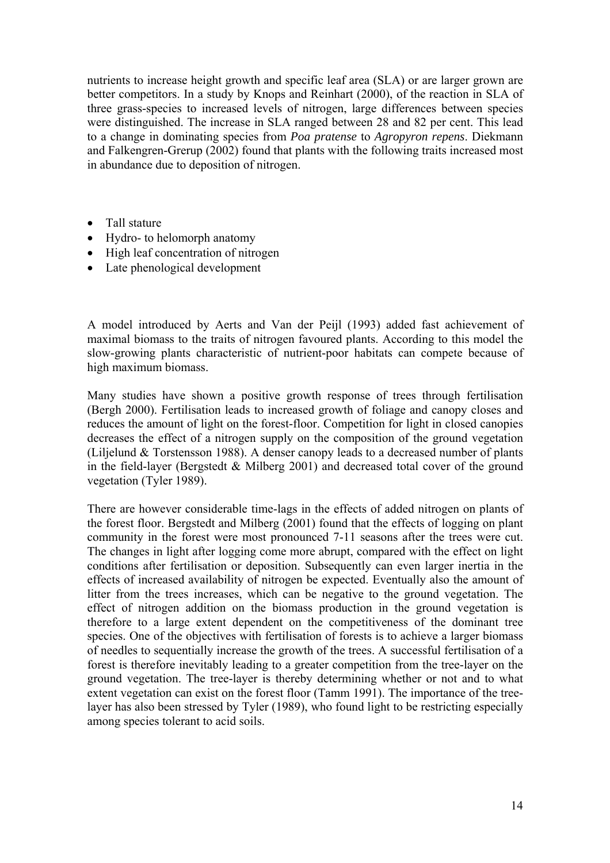nutrients to increase height growth and specific leaf area (SLA) or are larger grown are better competitors. In a study by Knops and Reinhart (2000), of the reaction in SLA of three grass-species to increased levels of nitrogen, large differences between species were distinguished. The increase in SLA ranged between 28 and 82 per cent. This lead to a change in dominating species from *Poa pratense* to *Agropyron repens*. Diekmann and Falkengren-Grerup (2002) found that plants with the following traits increased most in abundance due to deposition of nitrogen.

- Tall stature
- Hydro- to helomorph anatomy
- High leaf concentration of nitrogen
- Late phenological development

A model introduced by Aerts and Van der Peijl (1993) added fast achievement of maximal biomass to the traits of nitrogen favoured plants. According to this model the slow-growing plants characteristic of nutrient-poor habitats can compete because of high maximum biomass.

Many studies have shown a positive growth response of trees through fertilisation (Bergh 2000). Fertilisation leads to increased growth of foliage and canopy closes and reduces the amount of light on the forest-floor. Competition for light in closed canopies decreases the effect of a nitrogen supply on the composition of the ground vegetation (Liljelund & Torstensson 1988). A denser canopy leads to a decreased number of plants in the field-layer (Bergstedt  $&$  Milberg 2001) and decreased total cover of the ground vegetation (Tyler 1989).

There are however considerable time-lags in the effects of added nitrogen on plants of the forest floor. Bergstedt and Milberg (2001) found that the effects of logging on plant community in the forest were most pronounced 7-11 seasons after the trees were cut. The changes in light after logging come more abrupt, compared with the effect on light conditions after fertilisation or deposition. Subsequently can even larger inertia in the effects of increased availability of nitrogen be expected. Eventually also the amount of litter from the trees increases, which can be negative to the ground vegetation. The effect of nitrogen addition on the biomass production in the ground vegetation is therefore to a large extent dependent on the competitiveness of the dominant tree species. One of the objectives with fertilisation of forests is to achieve a larger biomass of needles to sequentially increase the growth of the trees. A successful fertilisation of a forest is therefore inevitably leading to a greater competition from the tree-layer on the ground vegetation. The tree-layer is thereby determining whether or not and to what extent vegetation can exist on the forest floor (Tamm 1991). The importance of the treelayer has also been stressed by Tyler (1989), who found light to be restricting especially among species tolerant to acid soils.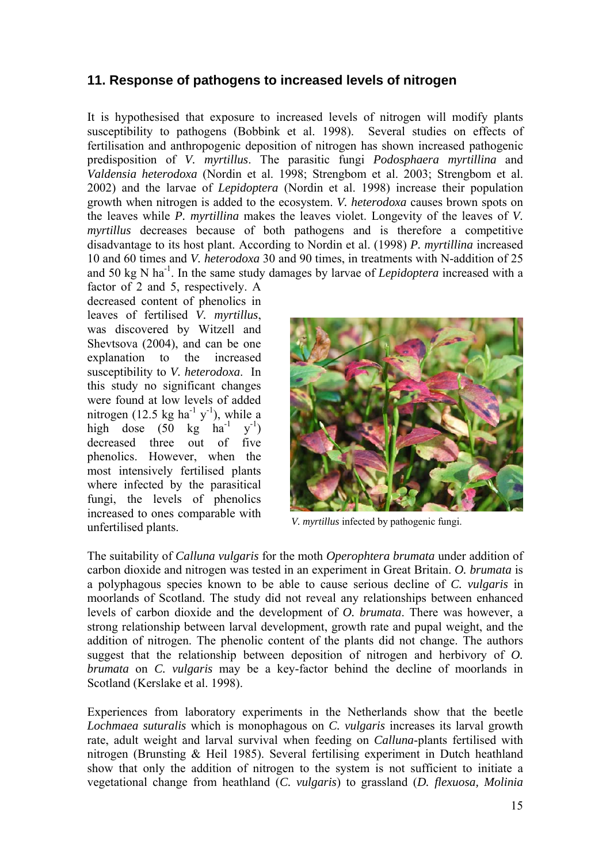### <span id="page-14-0"></span>**11. Response of pathogens to increased levels of nitrogen**

It is hypothesised that exposure to increased levels of nitrogen will modify plants susceptibility to pathogens (Bobbink et al. 1998). Several studies on effects of fertilisation and anthropogenic deposition of nitrogen has shown increased pathogenic predisposition of *V. myrtillus*. The parasitic fungi *Podosphaera myrtillina* and *Valdensia heterodoxa* (Nordin et al. 1998; Strengbom et al. 2003; Strengbom et al. 2002) and the larvae of *Lepidoptera* (Nordin et al. 1998) increase their population growth when nitrogen is added to the ecosystem. *V. heterodoxa* causes brown spots on the leaves while *P. myrtillina* makes the leaves violet. Longevity of the leaves of *V. myrtillus* decreases because of both pathogens and is therefore a competitive disadvantage to its host plant. According to Nordin et al. (1998) *P. myrtillina* increased 10 and 60 times and *V. heterodoxa* 30 and 90 times, in treatments with N-addition of 25 and 50 kg N ha-1. In the same study damages by larvae of *Lepidoptera* increased with a

factor of 2 and 5, respectively. A decreased content of phenolics in leaves of fertilised *V. myrtillus*, was discovered by Witzell and Shevtsova (2004), and can be one explanation to the increased susceptibility to *V. heterodoxa*. In this study no significant changes were found at low levels of added nitrogen (12.5 kg ha<sup>-1</sup> y<sup>-1</sup>), while a high dose  $(50 \text{ kg} \text{ ha}^{-1})$  $y^{-1}$ ) decreased three out of five phenolics. However, when the most intensively fertilised plants where infected by the parasitical fungi, the levels of phenolics increased to ones comparable with *V. myrtillus* infected by pathogenic fungi.<br> *V. myrtillus* infected by pathogenic fungi.



The suitability of *Calluna vulgaris* for the moth *Operophtera brumata* under addition of carbon dioxide and nitrogen was tested in an experiment in Great Britain. *O. brumata* is a polyphagous species known to be able to cause serious decline of *C. vulgaris* in moorlands of Scotland. The study did not reveal any relationships between enhanced levels of carbon dioxide and the development of *O. brumata*. There was however, a strong relationship between larval development, growth rate and pupal weight, and the addition of nitrogen. The phenolic content of the plants did not change. The authors suggest that the relationship between deposition of nitrogen and herbivory of *O. brumata* on *C. vulgaris* may be a key-factor behind the decline of moorlands in Scotland (Kerslake et al. 1998).

Experiences from laboratory experiments in the Netherlands show that the beetle *Lochmaea suturalis* which is monophagous on *C. vulgaris* increases its larval growth rate, adult weight and larval survival when feeding on *Calluna*-plants fertilised with nitrogen (Brunsting & Heil 1985). Several fertilising experiment in Dutch heathland show that only the addition of nitrogen to the system is not sufficient to initiate a vegetational change from heathland (*C. vulgaris*) to grassland (*D. flexuosa, Molinia*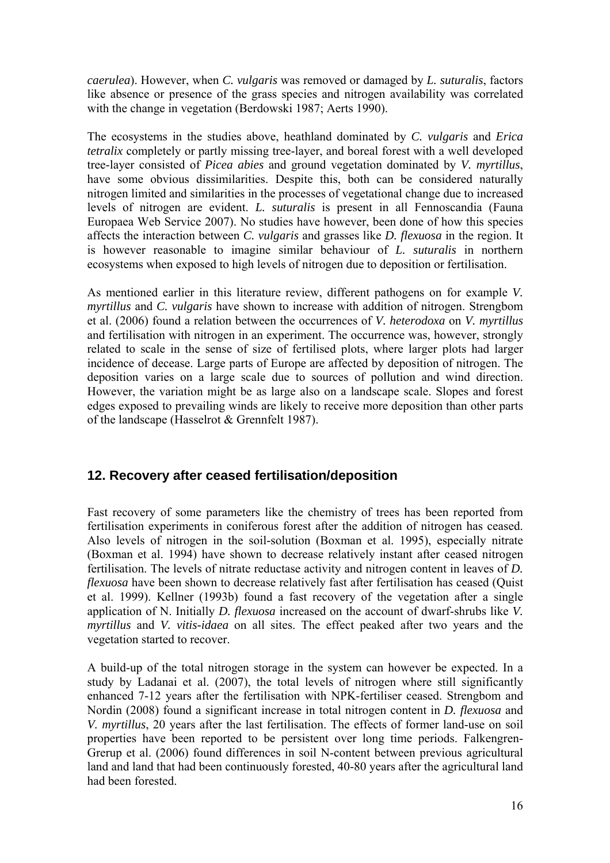<span id="page-15-0"></span>*caerulea*). However, when *C. vulgaris* was removed or damaged by *L. suturalis*, factors like absence or presence of the grass species and nitrogen availability was correlated with the change in vegetation (Berdowski 1987; Aerts 1990).

The ecosystems in the studies above, heathland dominated by *C. vulgaris* and *Erica tetralix* completely or partly missing tree-layer, and boreal forest with a well developed tree-layer consisted of *Picea abies* and ground vegetation dominated by *V. myrtillus*, have some obvious dissimilarities. Despite this, both can be considered naturally nitrogen limited and similarities in the processes of vegetational change due to increased levels of nitrogen are evident. *L. suturalis* is present in all Fennoscandia (Fauna Europaea Web Service 2007). No studies have however, been done of how this species affects the interaction between *C. vulgaris* and grasses like *D. flexuosa* in the region. It is however reasonable to imagine similar behaviour of *L. suturalis* in northern ecosystems when exposed to high levels of nitrogen due to deposition or fertilisation.

As mentioned earlier in this literature review, different pathogens on for example *V. myrtillus* and *C. vulgaris* have shown to increase with addition of nitrogen. Strengbom et al. (2006) found a relation between the occurrences of *V. heterodoxa* on *V. myrtillus* and fertilisation with nitrogen in an experiment. The occurrence was, however, strongly related to scale in the sense of size of fertilised plots, where larger plots had larger incidence of decease. Large parts of Europe are affected by deposition of nitrogen. The deposition varies on a large scale due to sources of pollution and wind direction. However, the variation might be as large also on a landscape scale. Slopes and forest edges exposed to prevailing winds are likely to receive more deposition than other parts of the landscape (Hasselrot & Grennfelt 1987).

## **12. Recovery after ceased fertilisation/deposition**

Fast recovery of some parameters like the chemistry of trees has been reported from fertilisation experiments in coniferous forest after the addition of nitrogen has ceased. Also levels of nitrogen in the soil-solution (Boxman et al. 1995), especially nitrate (Boxman et al. 1994) have shown to decrease relatively instant after ceased nitrogen fertilisation. The levels of nitrate reductase activity and nitrogen content in leaves of *D. flexuosa* have been shown to decrease relatively fast after fertilisation has ceased (Quist et al. 1999). Kellner (1993b) found a fast recovery of the vegetation after a single application of N. Initially *D. flexuosa* increased on the account of dwarf-shrubs like *V. myrtillus* and *V. vitis-idaea* on all sites. The effect peaked after two years and the vegetation started to recover.

A build-up of the total nitrogen storage in the system can however be expected. In a study by Ladanai et al. (2007), the total levels of nitrogen where still significantly enhanced 7-12 years after the fertilisation with NPK-fertiliser ceased. Strengbom and Nordin (2008) found a significant increase in total nitrogen content in *D. flexuosa* and *V. myrtillus*, 20 years after the last fertilisation. The effects of former land-use on soil properties have been reported to be persistent over long time periods. Falkengren-Grerup et al. (2006) found differences in soil N-content between previous agricultural land and land that had been continuously forested, 40-80 years after the agricultural land had been forested.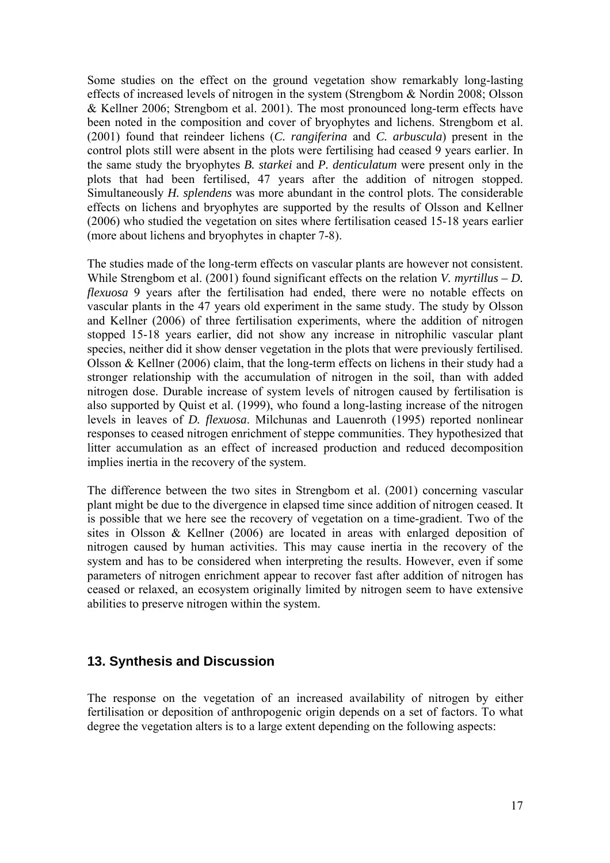<span id="page-16-0"></span>Some studies on the effect on the ground vegetation show remarkably long-lasting effects of increased levels of nitrogen in the system (Strengbom & Nordin 2008; Olsson & Kellner 2006; Strengbom et al. 2001). The most pronounced long-term effects have been noted in the composition and cover of bryophytes and lichens. Strengbom et al. (2001) found that reindeer lichens (*C. rangiferina* and *C. arbuscula*) present in the control plots still were absent in the plots were fertilising had ceased 9 years earlier. In the same study the bryophytes *B. starkei* and *P. denticulatum* were present only in the plots that had been fertilised, 47 years after the addition of nitrogen stopped. Simultaneously *H. splendens* was more abundant in the control plots. The considerable effects on lichens and bryophytes are supported by the results of Olsson and Kellner (2006) who studied the vegetation on sites where fertilisation ceased 15-18 years earlier (more about lichens and bryophytes in chapter 7-8).

The studies made of the long-term effects on vascular plants are however not consistent. While Strengbom et al. (2001) found significant effects on the relation *V. myrtillus – D. flexuosa* 9 years after the fertilisation had ended, there were no notable effects on vascular plants in the 47 years old experiment in the same study. The study by Olsson and Kellner (2006) of three fertilisation experiments, where the addition of nitrogen stopped 15-18 years earlier, did not show any increase in nitrophilic vascular plant species, neither did it show denser vegetation in the plots that were previously fertilised. Olsson & Kellner (2006) claim, that the long-term effects on lichens in their study had a stronger relationship with the accumulation of nitrogen in the soil, than with added nitrogen dose. Durable increase of system levels of nitrogen caused by fertilisation is also supported by Quist et al. (1999), who found a long-lasting increase of the nitrogen levels in leaves of *D. flexuosa*. Milchunas and Lauenroth (1995) reported nonlinear responses to ceased nitrogen enrichment of steppe communities. They hypothesized that litter accumulation as an effect of increased production and reduced decomposition implies inertia in the recovery of the system.

The difference between the two sites in Strengbom et al. (2001) concerning vascular plant might be due to the divergence in elapsed time since addition of nitrogen ceased. It is possible that we here see the recovery of vegetation on a time-gradient. Two of the sites in Olsson & Kellner (2006) are located in areas with enlarged deposition of nitrogen caused by human activities. This may cause inertia in the recovery of the system and has to be considered when interpreting the results. However, even if some parameters of nitrogen enrichment appear to recover fast after addition of nitrogen has ceased or relaxed, an ecosystem originally limited by nitrogen seem to have extensive abilities to preserve nitrogen within the system.

#### **13. Synthesis and Discussion**

The response on the vegetation of an increased availability of nitrogen by either fertilisation or deposition of anthropogenic origin depends on a set of factors. To what degree the vegetation alters is to a large extent depending on the following aspects: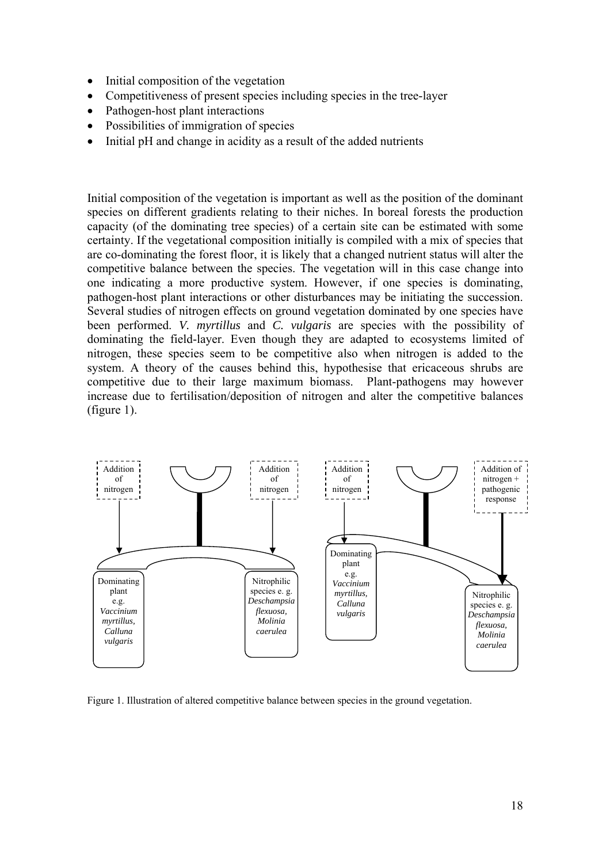- Initial composition of the vegetation
- Competitiveness of present species including species in the tree-layer
- Pathogen-host plant interactions
- Possibilities of immigration of species
- Initial pH and change in acidity as a result of the added nutrients

Initial composition of the vegetation is important as well as the position of the dominant species on different gradients relating to their niches. In boreal forests the production capacity (of the dominating tree species) of a certain site can be estimated with some certainty. If the vegetational composition initially is compiled with a mix of species that are co-dominating the forest floor, it is likely that a changed nutrient status will alter the competitive balance between the species. The vegetation will in this case change into one indicating a more productive system. However, if one species is dominating, pathogen-host plant interactions or other disturbances may be initiating the succession. Several studies of nitrogen effects on ground vegetation dominated by one species have been performed. *V. myrtillus* and *C. vulgaris* are species with the possibility of dominating the field-layer. Even though they are adapted to ecosystems limited of nitrogen, these species seem to be competitive also when nitrogen is added to the system. A theory of the causes behind this, hypothesise that ericaceous shrubs are competitive due to their large maximum biomass. Plant-pathogens may however increase due to fertilisation/deposition of nitrogen and alter the competitive balances (figure 1).



Figure 1. Illustration of altered competitive balance between species in the ground vegetation.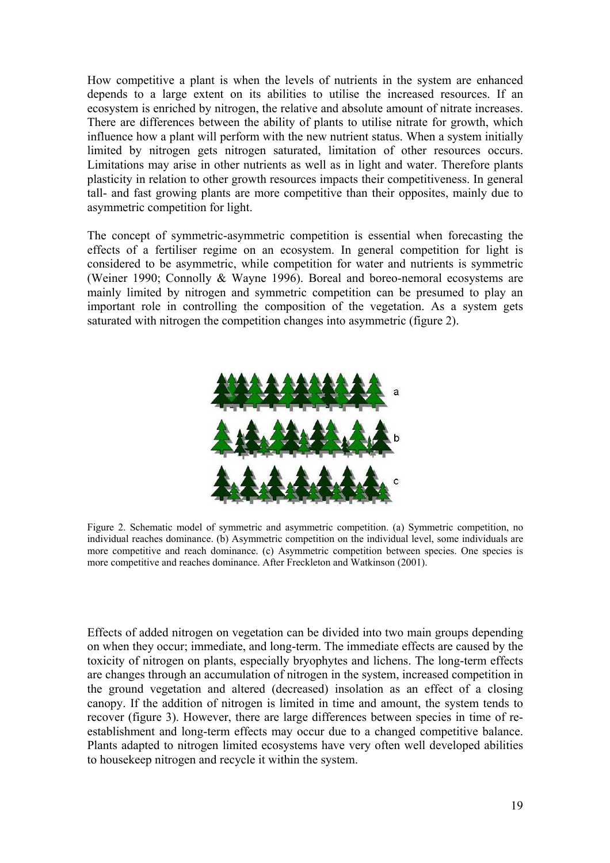How competitive a plant is when the levels of nutrients in the system are enhanced depends to a large extent on its abilities to utilise the increased resources. If an ecosystem is enriched by nitrogen, the relative and absolute amount of nitrate increases. There are differences between the ability of plants to utilise nitrate for growth, which influence how a plant will perform with the new nutrient status. When a system initially limited by nitrogen gets nitrogen saturated, limitation of other resources occurs. Limitations may arise in other nutrients as well as in light and water. Therefore plants plasticity in relation to other growth resources impacts their competitiveness. In general tall- and fast growing plants are more competitive than their opposites, mainly due to asymmetric competition for light.

The concept of symmetric-asymmetric competition is essential when forecasting the effects of a fertiliser regime on an ecosystem. In general competition for light is considered to be asymmetric, while competition for water and nutrients is symmetric (Weiner 1990; Connolly & Wayne 1996). Boreal and boreo-nemoral ecosystems are mainly limited by nitrogen and symmetric competition can be presumed to play an important role in controlling the composition of the vegetation. As a system gets saturated with nitrogen the competition changes into asymmetric (figure 2).



Figure 2. Schematic model of symmetric and asymmetric competition. (a) Symmetric competition, no individual reaches dominance. (b) Asymmetric competition on the individual level, some individuals are more competitive and reach dominance. (c) Asymmetric competition between species. One species is more competitive and reaches dominance. After Freckleton and Watkinson (2001).

Effects of added nitrogen on vegetation can be divided into two main groups depending on when they occur; immediate, and long-term. The immediate effects are caused by the toxicity of nitrogen on plants, especially bryophytes and lichens. The long-term effects are changes through an accumulation of nitrogen in the system, increased competition in the ground vegetation and altered (decreased) insolation as an effect of a closing canopy. If the addition of nitrogen is limited in time and amount, the system tends to recover (figure 3). However, there are large differences between species in time of reestablishment and long-term effects may occur due to a changed competitive balance. Plants adapted to nitrogen limited ecosystems have very often well developed abilities to housekeep nitrogen and recycle it within the system.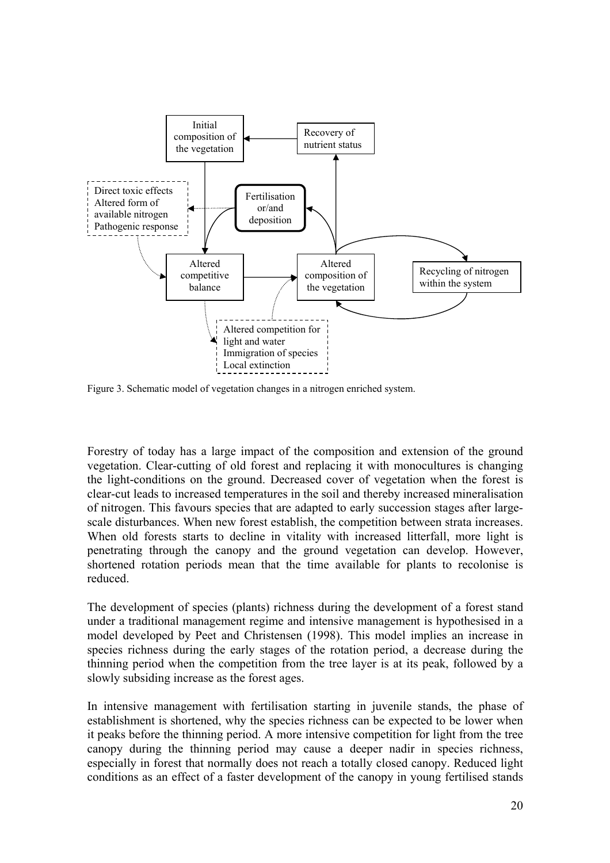

Figure 3. Schematic model of vegetation changes in a nitrogen enriched system.

Forestry of today has a large impact of the composition and extension of the ground vegetation. Clear-cutting of old forest and replacing it with monocultures is changing the light-conditions on the ground. Decreased cover of vegetation when the forest is clear-cut leads to increased temperatures in the soil and thereby increased mineralisation of nitrogen. This favours species that are adapted to early succession stages after largescale disturbances. When new forest establish, the competition between strata increases. When old forests starts to decline in vitality with increased litterfall, more light is penetrating through the canopy and the ground vegetation can develop. However, shortened rotation periods mean that the time available for plants to recolonise is reduced.

The development of species (plants) richness during the development of a forest stand under a traditional management regime and intensive management is hypothesised in a model developed by Peet and Christensen (1998). This model implies an increase in species richness during the early stages of the rotation period, a decrease during the thinning period when the competition from the tree layer is at its peak, followed by a slowly subsiding increase as the forest ages.

In intensive management with fertilisation starting in juvenile stands, the phase of establishment is shortened, why the species richness can be expected to be lower when it peaks before the thinning period. A more intensive competition for light from the tree canopy during the thinning period may cause a deeper nadir in species richness, especially in forest that normally does not reach a totally closed canopy. Reduced light conditions as an effect of a faster development of the canopy in young fertilised stands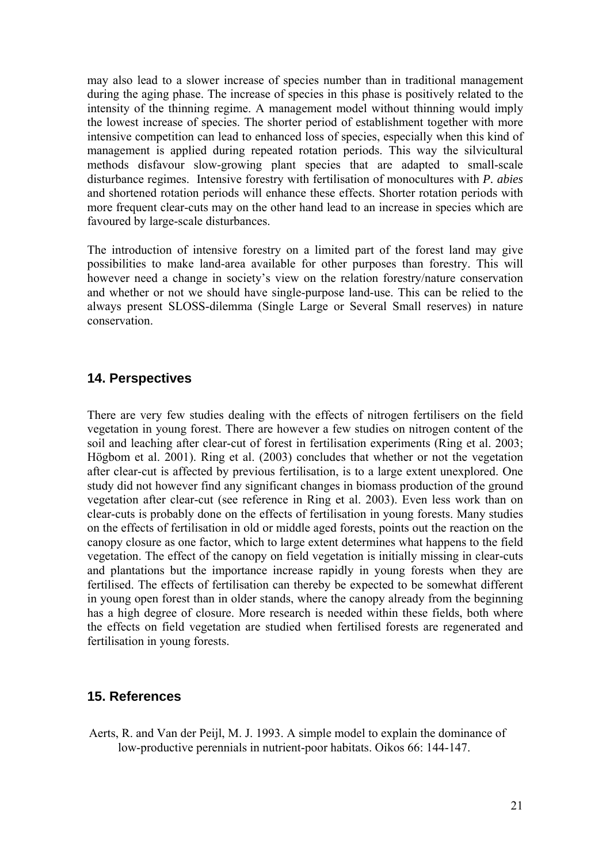<span id="page-20-0"></span>may also lead to a slower increase of species number than in traditional management during the aging phase. The increase of species in this phase is positively related to the intensity of the thinning regime. A management model without thinning would imply the lowest increase of species. The shorter period of establishment together with more intensive competition can lead to enhanced loss of species, especially when this kind of management is applied during repeated rotation periods. This way the silvicultural methods disfavour slow-growing plant species that are adapted to small-scale disturbance regimes. Intensive forestry with fertilisation of monocultures with *P. abies* and shortened rotation periods will enhance these effects. Shorter rotation periods with more frequent clear-cuts may on the other hand lead to an increase in species which are favoured by large-scale disturbances.

The introduction of intensive forestry on a limited part of the forest land may give possibilities to make land-area available for other purposes than forestry. This will however need a change in society's view on the relation forestry/nature conservation and whether or not we should have single-purpose land-use. This can be relied to the always present SLOSS-dilemma (Single Large or Several Small reserves) in nature conservation.

### **14. Perspectives**

There are very few studies dealing with the effects of nitrogen fertilisers on the field vegetation in young forest. There are however a few studies on nitrogen content of the soil and leaching after clear-cut of forest in fertilisation experiments (Ring et al. 2003; Högbom et al. 2001). Ring et al. (2003) concludes that whether or not the vegetation after clear-cut is affected by previous fertilisation, is to a large extent unexplored. One study did not however find any significant changes in biomass production of the ground vegetation after clear-cut (see reference in Ring et al. 2003). Even less work than on clear-cuts is probably done on the effects of fertilisation in young forests. Many studies on the effects of fertilisation in old or middle aged forests, points out the reaction on the canopy closure as one factor, which to large extent determines what happens to the field vegetation. The effect of the canopy on field vegetation is initially missing in clear-cuts and plantations but the importance increase rapidly in young forests when they are fertilised. The effects of fertilisation can thereby be expected to be somewhat different in young open forest than in older stands, where the canopy already from the beginning has a high degree of closure. More research is needed within these fields, both where the effects on field vegetation are studied when fertilised forests are regenerated and fertilisation in young forests.

#### **15. References**

Aerts, R. and Van der Peijl, M. J. 1993. A simple model to explain the dominance of low-productive perennials in nutrient-poor habitats. Oikos 66: 144-147.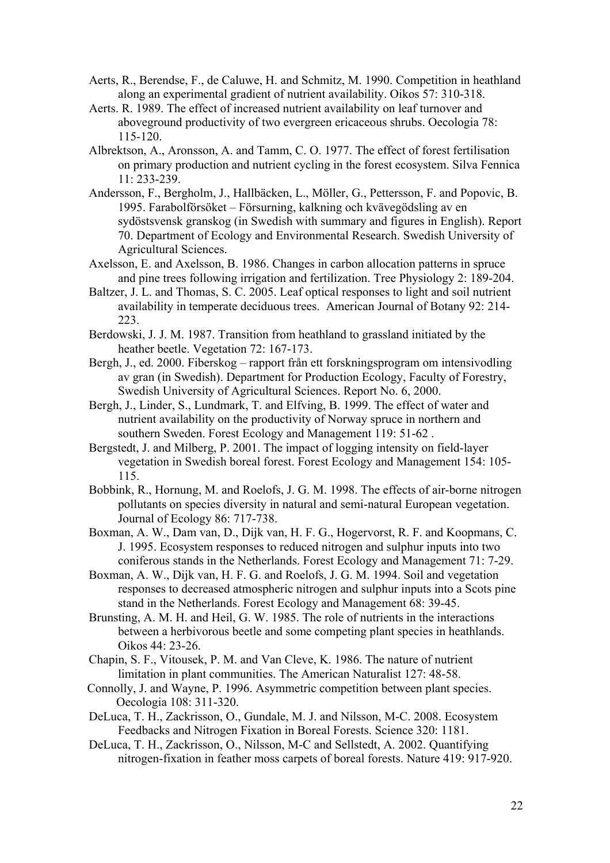- Aerts, R., Berendse, F., de Caluwe, H. and Schmitz, M. 1990. Competition in heathland along an experimental gradient of nutrient availability. Oikos 57: 310-318.
- Aerts. R. 1989. The effect of increased nutrient availability on leaf turnover and aboveground productivity of two evergreen ericaceous shrubs. Oecologia 78: 115-120.
- Albrektson, A., Aronsson, A. and Tamm, C. O. 1977. The effect of forest fertilisation on primary production and nutrient cycling in the forest ecosystem. Silva Fennica 11: 233-239.
- Andersson, F., Bergholm, J., Hallbäcken, L., Möller, G., Pettersson, F. and Popovic, B. 1995. Farabolförsöket – Försurning, kalkning och kvävegödsling av en sydöstsvensk granskog (in Swedish with summary and figures in English). Report 70. Department of Ecology and Environmental Research. Swedish University of Agricultural Sciences.
- Axelsson, E. and Axelsson, B. 1986. Changes in carbon allocation patterns in spruce and pine trees following irrigation and fertilization. Tree Physiology 2: 189-204.
- Baltzer, J. L. and Thomas, S. C. 2005. Leaf optical responses to light and soil nutrient availability in temperate deciduous trees. American Journal of Botany 92: 214- 223.
- Berdowski, J. J. M. 1987. Transition from heathland to grassland initiated by the heather beetle. Vegetation 72: 167-173.
- Bergh, J., ed. 2000. Fiberskog rapport från ett forskningsprogram om intensivodling av gran (in Swedish). Department for Production Ecology, Faculty of Forestry, Swedish University of Agricultural Sciences. Report No. 6, 2000.
- Bergh, J., Linder, S., Lundmark, T. and Elfving, B. 1999. The effect of water and nutrient availability on the productivity of Norway spruce in northern and southern Sweden. Forest Ecology and Management 119: 51-62 .
- Bergstedt, J. and Milberg, P. 2001. The impact of logging intensity on field-layer vegetation in Swedish boreal forest. Forest Ecology and Management 154: 105- 115.
- Bobbink, R., Hornung, M. and Roelofs, J. G. M. 1998. The effects of air-borne nitrogen pollutants on species diversity in natural and semi-natural European vegetation. Journal of Ecology 86: 717-738.
- Boxman, A. W., Dam van, D., Dijk van, H. F. G., Hogervorst, R. F. and Koopmans, C. J. 1995. Ecosystem responses to reduced nitrogen and sulphur inputs into two coniferous stands in the Netherlands. Forest Ecology and Management 71: 7-29.
- Boxman, A. W., Dijk van, H. F. G. and Roelofs, J. G. M. 1994. Soil and vegetation responses to decreased atmospheric nitrogen and sulphur inputs into a Scots pine stand in the Netherlands. Forest Ecology and Management 68: 39-45.
- Brunsting, A. M. H. and Heil, G. W. 1985. The role of nutrients in the interactions between a herbivorous beetle and some competing plant species in heathlands. Oikos 44: 23-26.
- Chapin, S. F., Vitousek, P. M. and Van Cleve, K. 1986. The nature of nutrient limitation in plant communities. The American Naturalist 127: 48-58.
- Connolly, J. and Wayne, P. 1996. Asymmetric competition between plant species. Oecologia 108: 311-320.
- DeLuca, T. H., Zackrisson, O., Gundale, M. J. and Nilsson, M-C. 2008. Ecosystem Feedbacks and Nitrogen Fixation in Boreal Forests. Science 320: 1181.
- DeLuca, T. H., Zackrisson, O., Nilsson, M-C and Sellstedt, A. 2002. Quantifying nitrogen-fixation in feather moss carpets of boreal forests. Nature 419: 917-920.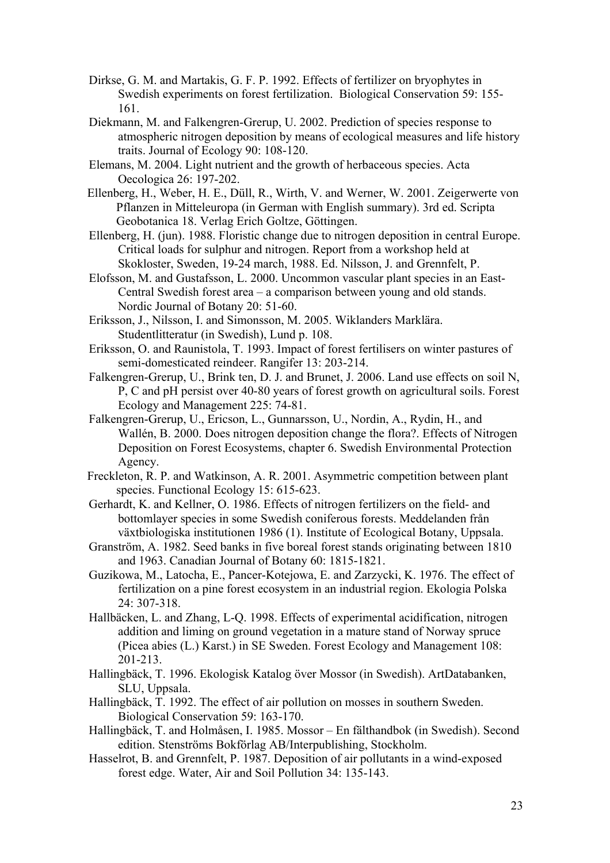- Dirkse, G. M. and Martakis, G. F. P. 1992. Effects of fertilizer on bryophytes in Swedish experiments on forest fertilization. Biological Conservation 59: 155- 161.
- Diekmann, M. and Falkengren-Grerup, U. 2002. Prediction of species response to atmospheric nitrogen deposition by means of ecological measures and life history traits. Journal of Ecology 90: 108-120.
- Elemans, M. 2004. Light nutrient and the growth of herbaceous species. Acta Oecologica 26: 197-202.
- Ellenberg, H., Weber, H. E., Düll, R., Wirth, V. and Werner, W. 2001. Zeigerwerte von Pflanzen in Mitteleuropa (in German with English summary). 3rd ed. Scripta Geobotanica 18. Verlag Erich Goltze, Göttingen.
- Ellenberg, H. (jun). 1988. Floristic change due to nitrogen deposition in central Europe. Critical loads for sulphur and nitrogen. Report from a workshop held at Skokloster, Sweden, 19-24 march, 1988. Ed. Nilsson, J. and Grennfelt, P.
- Elofsson, M. and Gustafsson, L. 2000. Uncommon vascular plant species in an East-Central Swedish forest area – a comparison between young and old stands. Nordic Journal of Botany 20: 51-60.
- Eriksson, J., Nilsson, I. and Simonsson, M. 2005. Wiklanders Marklära. Studentlitteratur (in Swedish), Lund p. 108.
- Eriksson, O. and Raunistola, T. 1993. Impact of forest fertilisers on winter pastures of semi-domesticated reindeer. Rangifer 13: 203-214.
- Falkengren-Grerup, U., Brink ten, D. J. and Brunet, J. 2006. Land use effects on soil N, P, C and pH persist over 40-80 years of forest growth on agricultural soils. Forest Ecology and Management 225: 74-81.
- Falkengren-Grerup, U., Ericson, L., Gunnarsson, U., Nordin, A., Rydin, H., and Wallén, B. 2000. Does nitrogen deposition change the flora?. Effects of Nitrogen Deposition on Forest Ecosystems, chapter 6. Swedish Environmental Protection Agency.
- Freckleton, R. P. and Watkinson, A. R. 2001. Asymmetric competition between plant species. Functional Ecology 15: 615-623.
- Gerhardt, K. and Kellner, O. 1986. Effects of nitrogen fertilizers on the field- and bottomlayer species in some Swedish coniferous forests. Meddelanden från växtbiologiska institutionen 1986 (1). Institute of Ecological Botany, Uppsala.
- Granström, A. 1982. Seed banks in five boreal forest stands originating between 1810 and 1963. Canadian Journal of Botany 60: 1815-1821.
- Guzikowa, M., Latocha, E., Pancer-Kotejowa, E. and Zarzycki, K. 1976. The effect of fertilization on a pine forest ecosystem in an industrial region. Ekologia Polska 24: 307-318.
- Hallbäcken, L. and Zhang, L-Q. 1998. Effects of experimental acidification, nitrogen addition and liming on ground vegetation in a mature stand of Norway spruce (Picea abies (L.) Karst.) in SE Sweden. Forest Ecology and Management 108: 201-213.
- Hallingbäck, T. 1996. Ekologisk Katalog över Mossor (in Swedish). ArtDatabanken, SLU, Uppsala.
- Hallingbäck, T. 1992. The effect of air pollution on mosses in southern Sweden. Biological Conservation 59: 163-170.
- Hallingbäck, T. and Holmåsen, I. 1985. Mossor En fälthandbok (in Swedish). Second edition. Stenströms Bokförlag AB/Interpublishing, Stockholm.
- Hasselrot, B. and Grennfelt, P. 1987. Deposition of air pollutants in a wind-exposed forest edge. Water, Air and Soil Pollution 34: 135-143.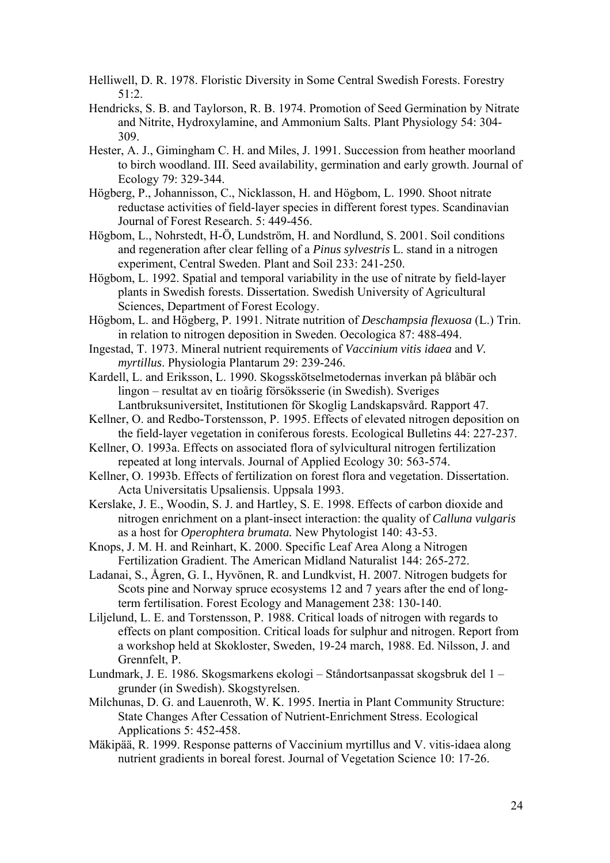- Helliwell, D. R. 1978. Floristic Diversity in Some Central Swedish Forests. Forestry 51:2.
- Hendricks, S. B. and Taylorson, R. B. 1974. Promotion of Seed Germination by Nitrate and Nitrite, Hydroxylamine, and Ammonium Salts. Plant Physiology 54: 304- 309.
- Hester, A. J., Gimingham C. H. and Miles, J. 1991. Succession from heather moorland to birch woodland. III. Seed availability, germination and early growth. Journal of Ecology 79: 329-344.
- Högberg, P., Johannisson, C., Nicklasson, H. and Högbom, L. 1990. Shoot nitrate reductase activities of field-layer species in different forest types. Scandinavian Journal of Forest Research. 5: 449-456.
- Högbom, L., Nohrstedt, H-Ö, Lundström, H. and Nordlund, S. 2001. Soil conditions and regeneration after clear felling of a *Pinus sylvestris* L. stand in a nitrogen experiment, Central Sweden. Plant and Soil 233: 241-250.
- Högbom, L. 1992. Spatial and temporal variability in the use of nitrate by field-layer plants in Swedish forests. Dissertation. Swedish University of Agricultural Sciences, Department of Forest Ecology.
- Högbom, L. and Högberg, P. 1991. Nitrate nutrition of *Deschampsia flexuosa* (L.) Trin. in relation to nitrogen deposition in Sweden. Oecologica 87: 488-494.
- Ingestad, T. 1973. Mineral nutrient requirements of *Vaccinium vitis idaea* and *V. myrtillus*. Physiologia Plantarum 29: 239-246.
- Kardell, L. and Eriksson, L. 1990. Skogsskötselmetodernas inverkan på blåbär och lingon – resultat av en tioårig försöksserie (in Swedish). Sveriges Lantbruksuniversitet, Institutionen för Skoglig Landskapsvård. Rapport 47.
- Kellner, O. and Redbo-Torstensson, P. 1995. Effects of elevated nitrogen deposition on the field-layer vegetation in coniferous forests. Ecological Bulletins 44: 227-237.
- Kellner, O. 1993a. Effects on associated flora of sylvicultural nitrogen fertilization repeated at long intervals. Journal of Applied Ecology 30: 563-574.
- Kellner, O. 1993b. Effects of fertilization on forest flora and vegetation. Dissertation. Acta Universitatis Upsaliensis. Uppsala 1993.
- Kerslake, J. E., Woodin, S. J. and Hartley, S. E. 1998. Effects of carbon dioxide and nitrogen enrichment on a plant-insect interaction: the quality of *Calluna vulgaris* as a host for *Operophtera brumata.* New Phytologist 140: 43-53.
- Knops, J. M. H. and Reinhart, K. 2000. Specific Leaf Area Along a Nitrogen Fertilization Gradient. The American Midland Naturalist 144: 265-272.
- Ladanai, S., Ågren, G. I., Hyvönen, R. and Lundkvist, H. 2007. Nitrogen budgets for Scots pine and Norway spruce ecosystems 12 and 7 years after the end of longterm fertilisation. Forest Ecology and Management 238: 130-140.
- Liljelund, L. E. and Torstensson, P. 1988. Critical loads of nitrogen with regards to effects on plant composition. Critical loads for sulphur and nitrogen. Report from a workshop held at Skokloster, Sweden, 19-24 march, 1988. Ed. Nilsson, J. and Grennfelt, P.
- Lundmark, J. E. 1986. Skogsmarkens ekologi Ståndortsanpassat skogsbruk del 1 grunder (in Swedish). Skogstyrelsen.
- Milchunas, D. G. and Lauenroth, W. K. 1995. Inertia in Plant Community Structure: State Changes After Cessation of Nutrient-Enrichment Stress. Ecological Applications 5: 452-458.
- Mäkipää, R. 1999. Response patterns of Vaccinium myrtillus and V. vitis-idaea along nutrient gradients in boreal forest. Journal of Vegetation Science 10: 17-26.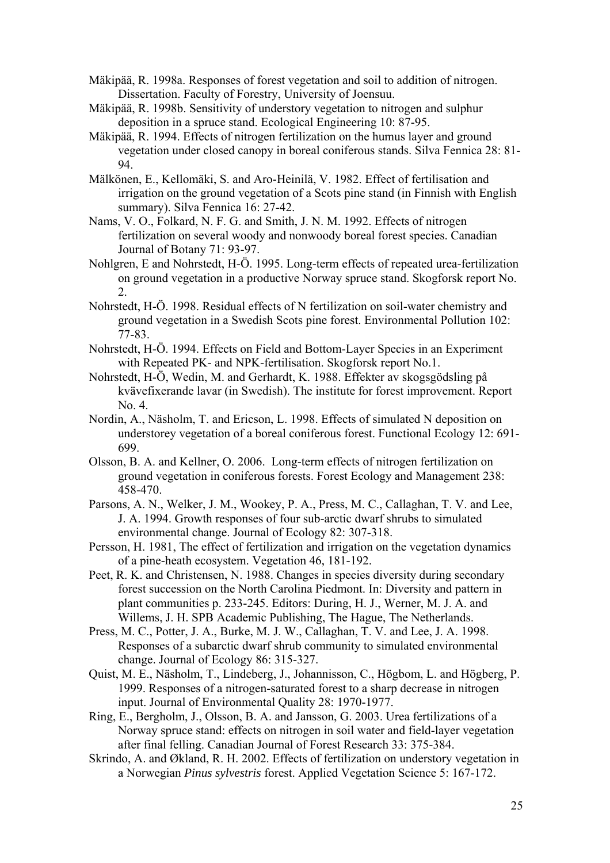- Mäkipää, R. 1998a. Responses of forest vegetation and soil to addition of nitrogen. Dissertation. Faculty of Forestry, University of Joensuu.
- Mäkipää, R. 1998b. Sensitivity of understory vegetation to nitrogen and sulphur deposition in a spruce stand. Ecological Engineering 10: 87-95.
- Mäkipää, R. 1994. Effects of nitrogen fertilization on the humus layer and ground vegetation under closed canopy in boreal coniferous stands. Silva Fennica 28: 81- 94.
- Mälkönen, E., Kellomäki, S. and Aro-Heinilä, V. 1982. Effect of fertilisation and irrigation on the ground vegetation of a Scots pine stand (in Finnish with English summary). Silva Fennica 16: 27-42.
- Nams, V. O., Folkard, N. F. G. and Smith, J. N. M. 1992. Effects of nitrogen fertilization on several woody and nonwoody boreal forest species. Canadian Journal of Botany 71: 93-97.
- Nohlgren, E and Nohrstedt, H-Ö. 1995. Long-term effects of repeated urea-fertilization on ground vegetation in a productive Norway spruce stand. Skogforsk report No.  $2<sup>1</sup>$
- Nohrstedt, H-Ö. 1998. Residual effects of N fertilization on soil-water chemistry and ground vegetation in a Swedish Scots pine forest. Environmental Pollution 102: 77-83.
- Nohrstedt, H-Ö. 1994. Effects on Field and Bottom-Layer Species in an Experiment with Repeated PK- and NPK-fertilisation. Skogforsk report No.1.
- Nohrstedt, H-Ö, Wedin, M. and Gerhardt, K. 1988. Effekter av skogsgödsling på kvävefixerande lavar (in Swedish). The institute for forest improvement. Report No. 4.
- Nordin, A., Näsholm, T. and Ericson, L. 1998. Effects of simulated N deposition on understorey vegetation of a boreal coniferous forest. Functional Ecology 12: 691- 699.
- Olsson, B. A. and Kellner, O. 2006. Long-term effects of nitrogen fertilization on ground vegetation in coniferous forests. Forest Ecology and Management 238: 458-470.
- Parsons, A. N., Welker, J. M., Wookey, P. A., Press, M. C., Callaghan, T. V. and Lee, J. A. 1994. Growth responses of four sub-arctic dwarf shrubs to simulated environmental change. Journal of Ecology 82: 307-318.
- Persson, H. 1981, The effect of fertilization and irrigation on the vegetation dynamics of a pine-heath ecosystem. Vegetation 46, 181-192.
- Peet, R. K. and Christensen, N. 1988. Changes in species diversity during secondary forest succession on the North Carolina Piedmont. In: Diversity and pattern in plant communities p. 233-245. Editors: During, H. J., Werner, M. J. A. and Willems, J. H. SPB Academic Publishing, The Hague, The Netherlands.
- Press, M. C., Potter, J. A., Burke, M. J. W., Callaghan, T. V. and Lee, J. A. 1998. Responses of a subarctic dwarf shrub community to simulated environmental change. Journal of Ecology 86: 315-327.
- Quist, M. E., Näsholm, T., Lindeberg, J., Johannisson, C., Högbom, L. and Högberg, P. 1999. Responses of a nitrogen-saturated forest to a sharp decrease in nitrogen input. Journal of Environmental Quality 28: 1970-1977.
- Ring, E., Bergholm, J., Olsson, B. A. and Jansson, G. 2003. Urea fertilizations of a Norway spruce stand: effects on nitrogen in soil water and field-layer vegetation after final felling. Canadian Journal of Forest Research 33: 375-384.
- Skrindo, A. and Økland, R. H. 2002. Effects of fertilization on understory vegetation in a Norwegian *Pinus sylvestris* forest. Applied Vegetation Science 5: 167-172.